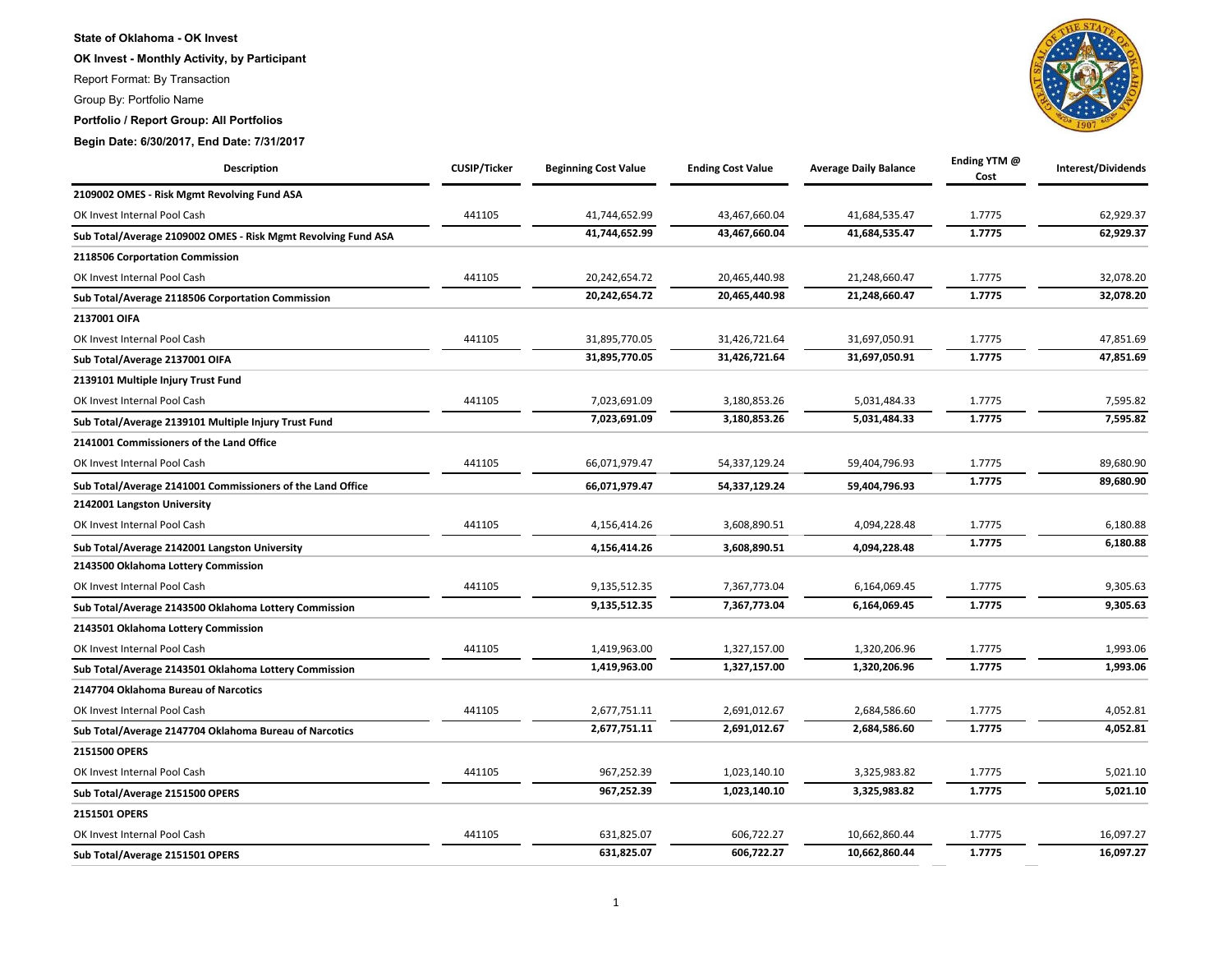## **State of Oklahoma - OK Invest**

**OK Invest - Monthly Activity, by Participant**

Report Format: By Transaction

Group By: Portfolio Name

**Portfolio / Report Group: All Portfolios**

**Begin Date: 6/30/2017, End Date: 7/31/2017**

| Description                                                   | <b>CUSIP/Ticker</b> | <b>Beginning Cost Value</b> | <b>Ending Cost Value</b> | <b>Average Daily Balance</b> | Ending YTM @<br>Cost | Interest/Dividends |
|---------------------------------------------------------------|---------------------|-----------------------------|--------------------------|------------------------------|----------------------|--------------------|
| 2109002 OMES - Risk Mgmt Revolving Fund ASA                   |                     |                             |                          |                              |                      |                    |
| OK Invest Internal Pool Cash                                  | 441105              | 41,744,652.99               | 43,467,660.04            | 41,684,535.47                | 1.7775               | 62,929.37          |
| Sub Total/Average 2109002 OMES - Risk Mgmt Revolving Fund ASA |                     | 41,744,652.99               | 43,467,660.04            | 41,684,535.47                | 1.7775               | 62,929.37          |
| 2118506 Corportation Commission                               |                     |                             |                          |                              |                      |                    |
| OK Invest Internal Pool Cash                                  | 441105              | 20,242,654.72               | 20,465,440.98            | 21,248,660.47                | 1.7775               | 32,078.20          |
| Sub Total/Average 2118506 Corportation Commission             |                     | 20,242,654.72               | 20,465,440.98            | 21,248,660.47                | 1.7775               | 32,078.20          |
| 2137001 OIFA                                                  |                     |                             |                          |                              |                      |                    |
| OK Invest Internal Pool Cash                                  | 441105              | 31,895,770.05               | 31,426,721.64            | 31,697,050.91                | 1.7775               | 47,851.69          |
| Sub Total/Average 2137001 OIFA                                |                     | 31,895,770.05               | 31,426,721.64            | 31,697,050.91                | 1.7775               | 47,851.69          |
| 2139101 Multiple Injury Trust Fund                            |                     |                             |                          |                              |                      |                    |
| OK Invest Internal Pool Cash                                  | 441105              | 7,023,691.09                | 3,180,853.26             | 5,031,484.33                 | 1.7775               | 7,595.82           |
| Sub Total/Average 2139101 Multiple Injury Trust Fund          |                     | 7,023,691.09                | 3,180,853.26             | 5,031,484.33                 | 1.7775               | 7,595.82           |
| 2141001 Commissioners of the Land Office                      |                     |                             |                          |                              |                      |                    |
| OK Invest Internal Pool Cash                                  | 441105              | 66,071,979.47               | 54,337,129.24            | 59,404,796.93                | 1.7775               | 89,680.90          |
| Sub Total/Average 2141001 Commissioners of the Land Office    |                     | 66,071,979.47               | 54,337,129.24            | 59,404,796.93                | 1.7775               | 89,680.90          |
| 2142001 Langston University                                   |                     |                             |                          |                              |                      |                    |
| OK Invest Internal Pool Cash                                  | 441105              | 4,156,414.26                | 3,608,890.51             | 4,094,228.48                 | 1.7775               | 6,180.88           |
| Sub Total/Average 2142001 Langston University                 |                     | 4,156,414.26                | 3,608,890.51             | 4,094,228.48                 | 1.7775               | 6,180.88           |
| 2143500 Oklahoma Lottery Commission                           |                     |                             |                          |                              |                      |                    |
| OK Invest Internal Pool Cash                                  | 441105              | 9,135,512.35                | 7,367,773.04             | 6,164,069.45                 | 1.7775               | 9,305.63           |
| Sub Total/Average 2143500 Oklahoma Lottery Commission         |                     | 9,135,512.35                | 7,367,773.04             | 6,164,069.45                 | 1.7775               | 9,305.63           |
| 2143501 Oklahoma Lottery Commission                           |                     |                             |                          |                              |                      |                    |
| OK Invest Internal Pool Cash                                  | 441105              | 1,419,963.00                | 1,327,157.00             | 1,320,206.96                 | 1.7775               | 1,993.06           |
| Sub Total/Average 2143501 Oklahoma Lottery Commission         |                     | 1,419,963.00                | 1,327,157.00             | 1,320,206.96                 | 1.7775               | 1,993.06           |
| 2147704 Oklahoma Bureau of Narcotics                          |                     |                             |                          |                              |                      |                    |
| OK Invest Internal Pool Cash                                  | 441105              | 2,677,751.11                | 2,691,012.67             | 2,684,586.60                 | 1.7775               | 4,052.81           |
| Sub Total/Average 2147704 Oklahoma Bureau of Narcotics        |                     | 2,677,751.11                | 2,691,012.67             | 2,684,586.60                 | 1.7775               | 4,052.81           |
| 2151500 OPERS                                                 |                     |                             |                          |                              |                      |                    |
| OK Invest Internal Pool Cash                                  | 441105              | 967,252.39                  | 1,023,140.10             | 3,325,983.82                 | 1.7775               | 5,021.10           |
| Sub Total/Average 2151500 OPERS                               |                     | 967,252.39                  | 1,023,140.10             | 3,325,983.82                 | 1.7775               | 5,021.10           |
| 2151501 OPERS                                                 |                     |                             |                          |                              |                      |                    |
| OK Invest Internal Pool Cash                                  | 441105              | 631,825.07                  | 606,722.27               | 10,662,860.44                | 1.7775               | 16,097.27          |
| Sub Total/Average 2151501 OPERS                               |                     | 631,825.07                  | 606,722.27               | 10,662,860.44                | 1.7775               | 16,097.27          |

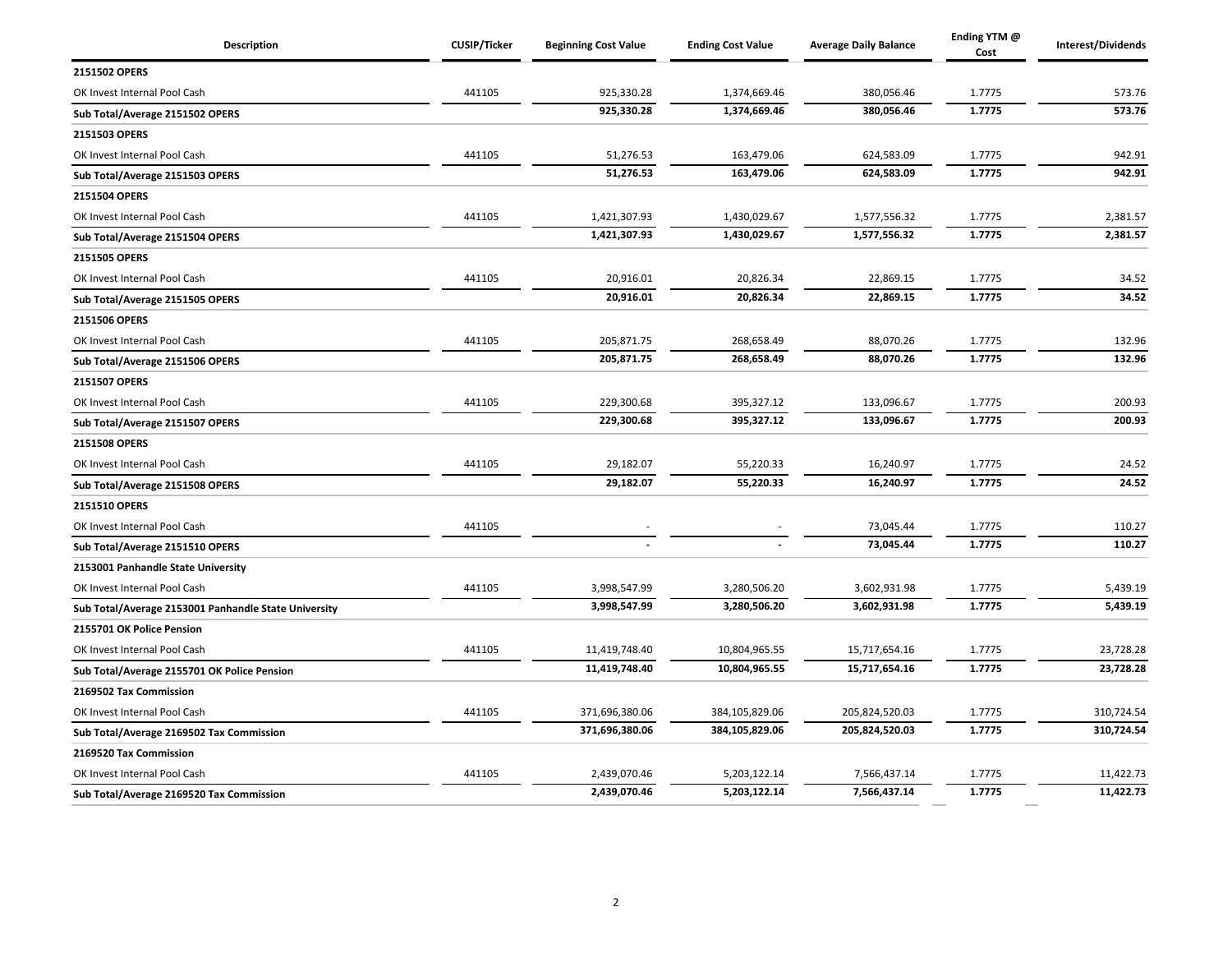| Description                                          | <b>CUSIP/Ticker</b> | <b>Beginning Cost Value</b> | <b>Ending Cost Value</b> | <b>Average Daily Balance</b> | Ending YTM @<br>Cost | Interest/Dividends |
|------------------------------------------------------|---------------------|-----------------------------|--------------------------|------------------------------|----------------------|--------------------|
| 2151502 OPERS                                        |                     |                             |                          |                              |                      |                    |
| OK Invest Internal Pool Cash                         | 441105              | 925,330.28                  | 1,374,669.46             | 380,056.46                   | 1.7775               | 573.76             |
| Sub Total/Average 2151502 OPERS                      |                     | 925,330.28                  | 1,374,669.46             | 380,056.46                   | 1.7775               | 573.76             |
| 2151503 OPERS                                        |                     |                             |                          |                              |                      |                    |
| OK Invest Internal Pool Cash                         | 441105              | 51,276.53                   | 163,479.06               | 624,583.09                   | 1.7775               | 942.91             |
| Sub Total/Average 2151503 OPERS                      |                     | 51,276.53                   | 163,479.06               | 624,583.09                   | 1.7775               | 942.91             |
| 2151504 OPERS                                        |                     |                             |                          |                              |                      |                    |
| OK Invest Internal Pool Cash                         | 441105              | 1,421,307.93                | 1,430,029.67             | 1,577,556.32                 | 1.7775               | 2,381.57           |
| Sub Total/Average 2151504 OPERS                      |                     | 1,421,307.93                | 1,430,029.67             | 1,577,556.32                 | 1.7775               | 2,381.57           |
| 2151505 OPERS                                        |                     |                             |                          |                              |                      |                    |
| OK Invest Internal Pool Cash                         | 441105              | 20,916.01                   | 20,826.34                | 22,869.15                    | 1.7775               | 34.52              |
| Sub Total/Average 2151505 OPERS                      |                     | 20,916.01                   | 20,826.34                | 22,869.15                    | 1.7775               | 34.52              |
| 2151506 OPERS                                        |                     |                             |                          |                              |                      |                    |
| OK Invest Internal Pool Cash                         | 441105              | 205,871.75                  | 268,658.49               | 88,070.26                    | 1.7775               | 132.96             |
| Sub Total/Average 2151506 OPERS                      |                     | 205,871.75                  | 268,658.49               | 88,070.26                    | 1.7775               | 132.96             |
| 2151507 OPERS                                        |                     |                             |                          |                              |                      |                    |
| OK Invest Internal Pool Cash                         | 441105              | 229,300.68                  | 395,327.12               | 133,096.67                   | 1.7775               | 200.93             |
| Sub Total/Average 2151507 OPERS                      |                     | 229,300.68                  | 395,327.12               | 133,096.67                   | 1.7775               | 200.93             |
| 2151508 OPERS                                        |                     |                             |                          |                              |                      |                    |
| OK Invest Internal Pool Cash                         | 441105              | 29,182.07                   | 55,220.33                | 16,240.97                    | 1.7775               | 24.52              |
| Sub Total/Average 2151508 OPERS                      |                     | 29,182.07                   | 55,220.33                | 16,240.97                    | 1.7775               | 24.52              |
| 2151510 OPERS                                        |                     |                             |                          |                              |                      |                    |
| OK Invest Internal Pool Cash                         | 441105              |                             |                          | 73,045.44                    | 1.7775               | 110.27             |
| Sub Total/Average 2151510 OPERS                      |                     |                             |                          | 73,045.44                    | 1.7775               | 110.27             |
| 2153001 Panhandle State University                   |                     |                             |                          |                              |                      |                    |
| OK Invest Internal Pool Cash                         | 441105              | 3,998,547.99                | 3,280,506.20             | 3,602,931.98                 | 1.7775               | 5,439.19           |
| Sub Total/Average 2153001 Panhandle State University |                     | 3,998,547.99                | 3,280,506.20             | 3,602,931.98                 | 1.7775               | 5,439.19           |
| 2155701 OK Police Pension                            |                     |                             |                          |                              |                      |                    |
| OK Invest Internal Pool Cash                         | 441105              | 11,419,748.40               | 10,804,965.55            | 15,717,654.16                | 1.7775               | 23,728.28          |
| Sub Total/Average 2155701 OK Police Pension          |                     | 11,419,748.40               | 10,804,965.55            | 15,717,654.16                | 1.7775               | 23,728.28          |
| 2169502 Tax Commission                               |                     |                             |                          |                              |                      |                    |
| OK Invest Internal Pool Cash                         | 441105              | 371,696,380.06              | 384,105,829.06           | 205,824,520.03               | 1.7775               | 310,724.54         |
| Sub Total/Average 2169502 Tax Commission             |                     | 371,696,380.06              | 384,105,829.06           | 205,824,520.03               | 1.7775               | 310,724.54         |
| 2169520 Tax Commission                               |                     |                             |                          |                              |                      |                    |
| OK Invest Internal Pool Cash                         | 441105              | 2,439,070.46                | 5,203,122.14             | 7,566,437.14                 | 1.7775               | 11,422.73          |
| Sub Total/Average 2169520 Tax Commission             |                     | 2,439,070.46                | 5,203,122.14             | 7,566,437.14                 | 1.7775               | 11,422.73          |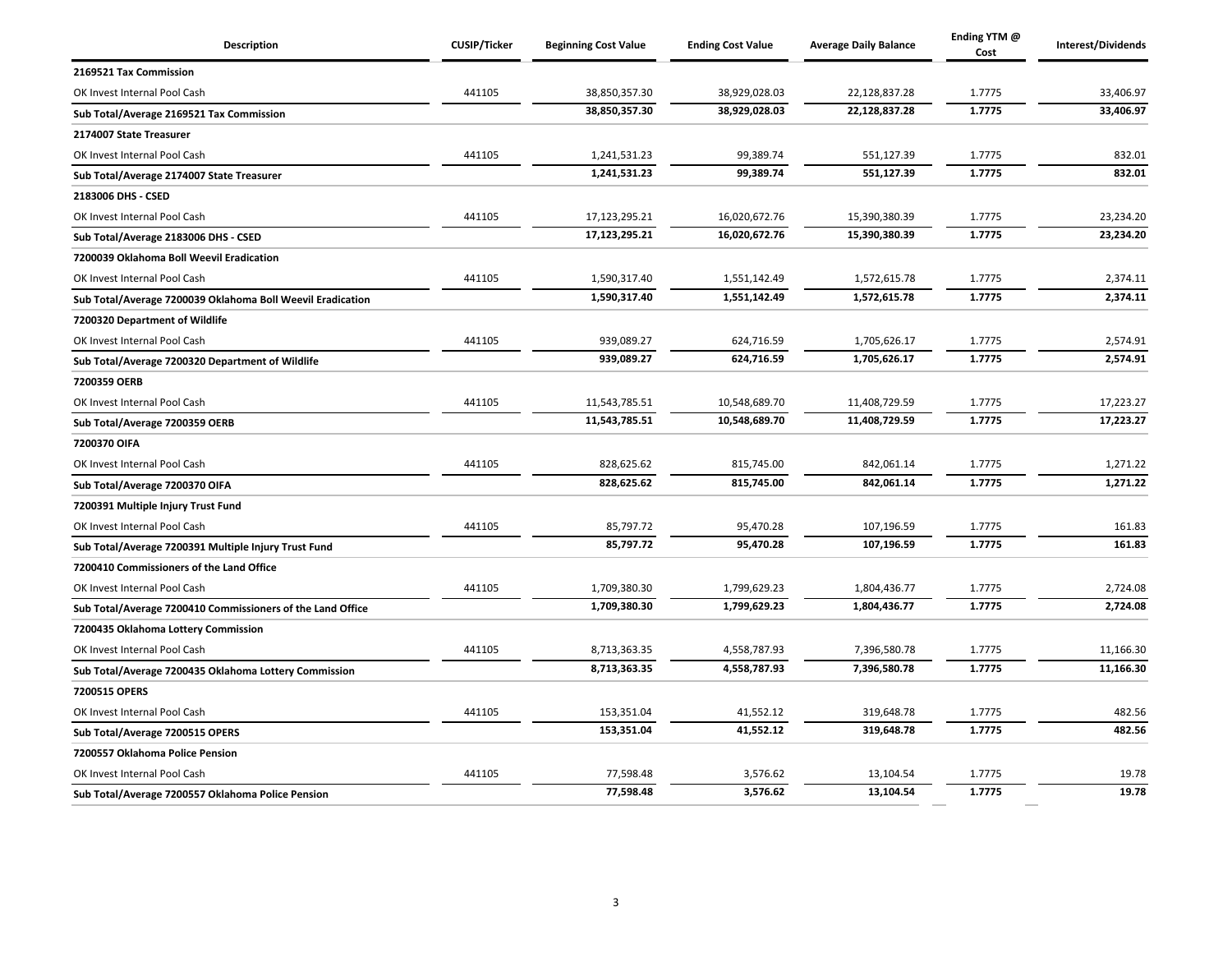| <b>Description</b>                                         | <b>CUSIP/Ticker</b> | <b>Beginning Cost Value</b> | <b>Ending Cost Value</b> | <b>Average Daily Balance</b> | Ending YTM @<br>Cost | Interest/Dividends |
|------------------------------------------------------------|---------------------|-----------------------------|--------------------------|------------------------------|----------------------|--------------------|
| 2169521 Tax Commission                                     |                     |                             |                          |                              |                      |                    |
| OK Invest Internal Pool Cash                               | 441105              | 38,850,357.30               | 38,929,028.03            | 22,128,837.28                | 1.7775               | 33,406.97          |
| Sub Total/Average 2169521 Tax Commission                   |                     | 38,850,357.30               | 38,929,028.03            | 22,128,837.28                | 1.7775               | 33,406.97          |
| 2174007 State Treasurer                                    |                     |                             |                          |                              |                      |                    |
| OK Invest Internal Pool Cash                               | 441105              | 1,241,531.23                | 99,389.74                | 551,127.39                   | 1.7775               | 832.01             |
| Sub Total/Average 2174007 State Treasurer                  |                     | 1,241,531.23                | 99,389.74                | 551,127.39                   | 1.7775               | 832.01             |
| 2183006 DHS - CSED                                         |                     |                             |                          |                              |                      |                    |
| OK Invest Internal Pool Cash                               | 441105              | 17,123,295.21               | 16,020,672.76            | 15,390,380.39                | 1.7775               | 23,234.20          |
| Sub Total/Average 2183006 DHS - CSED                       |                     | 17,123,295.21               | 16,020,672.76            | 15,390,380.39                | 1.7775               | 23,234.20          |
| 7200039 Oklahoma Boll Weevil Eradication                   |                     |                             |                          |                              |                      |                    |
| OK Invest Internal Pool Cash                               | 441105              | 1,590,317.40                | 1,551,142.49             | 1,572,615.78                 | 1.7775               | 2,374.11           |
| Sub Total/Average 7200039 Oklahoma Boll Weevil Eradication |                     | 1,590,317.40                | 1,551,142.49             | 1,572,615.78                 | 1.7775               | 2,374.11           |
| 7200320 Department of Wildlife                             |                     |                             |                          |                              |                      |                    |
| OK Invest Internal Pool Cash                               | 441105              | 939,089.27                  | 624,716.59               | 1,705,626.17                 | 1.7775               | 2,574.91           |
| Sub Total/Average 7200320 Department of Wildlife           |                     | 939,089.27                  | 624,716.59               | 1,705,626.17                 | 1.7775               | 2,574.91           |
| 7200359 OERB                                               |                     |                             |                          |                              |                      |                    |
| OK Invest Internal Pool Cash                               | 441105              | 11,543,785.51               | 10,548,689.70            | 11,408,729.59                | 1.7775               | 17,223.27          |
| Sub Total/Average 7200359 OERB                             |                     | 11,543,785.51               | 10,548,689.70            | 11,408,729.59                | 1.7775               | 17,223.27          |
| 7200370 OIFA                                               |                     |                             |                          |                              |                      |                    |
| OK Invest Internal Pool Cash                               | 441105              | 828,625.62                  | 815,745.00               | 842,061.14                   | 1.7775               | 1,271.22           |
| Sub Total/Average 7200370 OIFA                             |                     | 828,625.62                  | 815,745.00               | 842,061.14                   | 1.7775               | 1,271.22           |
| 7200391 Multiple Injury Trust Fund                         |                     |                             |                          |                              |                      |                    |
| OK Invest Internal Pool Cash                               | 441105              | 85,797.72                   | 95,470.28                | 107,196.59                   | 1.7775               | 161.83             |
| Sub Total/Average 7200391 Multiple Injury Trust Fund       |                     | 85.797.72                   | 95,470.28                | 107,196.59                   | 1.7775               | 161.83             |
| 7200410 Commissioners of the Land Office                   |                     |                             |                          |                              |                      |                    |
| OK Invest Internal Pool Cash                               | 441105              | 1,709,380.30                | 1,799,629.23             | 1,804,436.77                 | 1.7775               | 2,724.08           |
| Sub Total/Average 7200410 Commissioners of the Land Office |                     | 1,709,380.30                | 1,799,629.23             | 1,804,436.77                 | 1.7775               | 2,724.08           |
| 7200435 Oklahoma Lottery Commission                        |                     |                             |                          |                              |                      |                    |
| OK Invest Internal Pool Cash                               | 441105              | 8,713,363.35                | 4,558,787.93             | 7,396,580.78                 | 1.7775               | 11,166.30          |
| Sub Total/Average 7200435 Oklahoma Lottery Commission      |                     | 8,713,363.35                | 4,558,787.93             | 7,396,580.78                 | 1.7775               | 11,166.30          |
| 7200515 OPERS                                              |                     |                             |                          |                              |                      |                    |
| OK Invest Internal Pool Cash                               | 441105              | 153,351.04                  | 41,552.12                | 319,648.78                   | 1.7775               | 482.56             |
| Sub Total/Average 7200515 OPERS                            |                     | 153,351.04                  | 41,552.12                | 319,648.78                   | 1.7775               | 482.56             |
| 7200557 Oklahoma Police Pension                            |                     |                             |                          |                              |                      |                    |
| OK Invest Internal Pool Cash                               | 441105              | 77,598.48                   | 3,576.62                 | 13,104.54                    | 1.7775               | 19.78              |
| Sub Total/Average 7200557 Oklahoma Police Pension          |                     | 77,598.48                   | 3,576.62                 | 13,104.54                    | 1.7775               | 19.78              |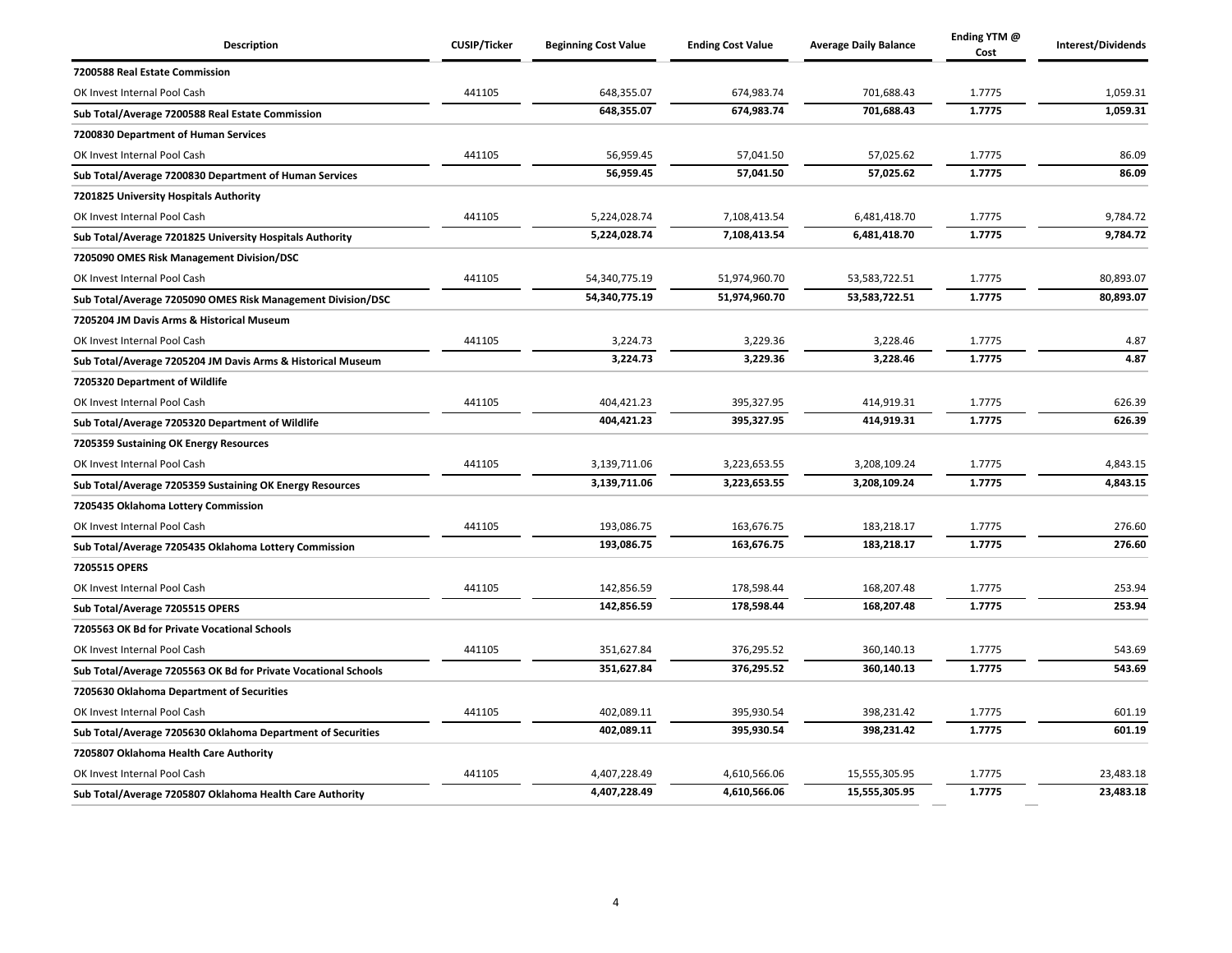| <b>Description</b>                                             | <b>CUSIP/Ticker</b> | <b>Beginning Cost Value</b> | <b>Ending Cost Value</b> | <b>Average Daily Balance</b> | Ending YTM @<br>Cost | Interest/Dividends |
|----------------------------------------------------------------|---------------------|-----------------------------|--------------------------|------------------------------|----------------------|--------------------|
| 7200588 Real Estate Commission                                 |                     |                             |                          |                              |                      |                    |
| OK Invest Internal Pool Cash                                   | 441105              | 648,355.07                  | 674,983.74               | 701,688.43                   | 1.7775               | 1,059.31           |
| Sub Total/Average 7200588 Real Estate Commission               |                     | 648,355.07                  | 674,983.74               | 701,688.43                   | 1.7775               | 1,059.31           |
| 7200830 Department of Human Services                           |                     |                             |                          |                              |                      |                    |
| OK Invest Internal Pool Cash                                   | 441105              | 56,959.45                   | 57,041.50                | 57,025.62                    | 1.7775               | 86.09              |
| Sub Total/Average 7200830 Department of Human Services         |                     | 56,959.45                   | 57,041.50                | 57,025.62                    | 1.7775               | 86.09              |
| 7201825 University Hospitals Authority                         |                     |                             |                          |                              |                      |                    |
| OK Invest Internal Pool Cash                                   | 441105              | 5,224,028.74                | 7,108,413.54             | 6,481,418.70                 | 1.7775               | 9,784.72           |
| Sub Total/Average 7201825 University Hospitals Authority       |                     | 5,224,028.74                | 7,108,413.54             | 6,481,418.70                 | 1.7775               | 9,784.72           |
| 7205090 OMES Risk Management Division/DSC                      |                     |                             |                          |                              |                      |                    |
| OK Invest Internal Pool Cash                                   | 441105              | 54,340,775.19               | 51,974,960.70            | 53,583,722.51                | 1.7775               | 80,893.07          |
| Sub Total/Average 7205090 OMES Risk Management Division/DSC    |                     | 54,340,775.19               | 51,974,960.70            | 53,583,722.51                | 1.7775               | 80,893.07          |
| 7205204 JM Davis Arms & Historical Museum                      |                     |                             |                          |                              |                      |                    |
| OK Invest Internal Pool Cash                                   | 441105              | 3,224.73                    | 3,229.36                 | 3,228.46                     | 1.7775               | 4.87               |
| Sub Total/Average 7205204 JM Davis Arms & Historical Museum    |                     | 3,224.73                    | 3,229.36                 | 3,228.46                     | 1.7775               | 4.87               |
| 7205320 Department of Wildlife                                 |                     |                             |                          |                              |                      |                    |
| OK Invest Internal Pool Cash                                   | 441105              | 404,421.23                  | 395,327.95               | 414,919.31                   | 1.7775               | 626.39             |
| Sub Total/Average 7205320 Department of Wildlife               |                     | 404,421.23                  | 395,327.95               | 414,919.31                   | 1.7775               | 626.39             |
| 7205359 Sustaining OK Energy Resources                         |                     |                             |                          |                              |                      |                    |
| OK Invest Internal Pool Cash                                   | 441105              | 3,139,711.06                | 3,223,653.55             | 3,208,109.24                 | 1.7775               | 4,843.15           |
| Sub Total/Average 7205359 Sustaining OK Energy Resources       |                     | 3,139,711.06                | 3,223,653.55             | 3,208,109.24                 | 1.7775               | 4,843.15           |
| 7205435 Oklahoma Lottery Commission                            |                     |                             |                          |                              |                      |                    |
| OK Invest Internal Pool Cash                                   | 441105              | 193,086.75                  | 163,676.75               | 183,218.17                   | 1.7775               | 276.60             |
| Sub Total/Average 7205435 Oklahoma Lottery Commission          |                     | 193.086.75                  | 163.676.75               | 183,218.17                   | 1.7775               | 276.60             |
| 7205515 OPERS                                                  |                     |                             |                          |                              |                      |                    |
| OK Invest Internal Pool Cash                                   | 441105              | 142,856.59                  | 178,598.44               | 168,207.48                   | 1.7775               | 253.94             |
| Sub Total/Average 7205515 OPERS                                |                     | 142,856.59                  | 178,598.44               | 168,207.48                   | 1.7775               | 253.94             |
| 7205563 OK Bd for Private Vocational Schools                   |                     |                             |                          |                              |                      |                    |
| OK Invest Internal Pool Cash                                   | 441105              | 351,627.84                  | 376,295.52               | 360,140.13                   | 1.7775               | 543.69             |
| Sub Total/Average 7205563 OK Bd for Private Vocational Schools |                     | 351,627.84                  | 376,295.52               | 360,140.13                   | 1.7775               | 543.69             |
| 7205630 Oklahoma Department of Securities                      |                     |                             |                          |                              |                      |                    |
| OK Invest Internal Pool Cash                                   | 441105              | 402,089.11                  | 395,930.54               | 398,231.42                   | 1.7775               | 601.19             |
| Sub Total/Average 7205630 Oklahoma Department of Securities    |                     | 402,089.11                  | 395,930.54               | 398,231.42                   | 1.7775               | 601.19             |
| 7205807 Oklahoma Health Care Authority                         |                     |                             |                          |                              |                      |                    |
| OK Invest Internal Pool Cash                                   | 441105              | 4,407,228.49                | 4,610,566.06             | 15,555,305.95                | 1.7775               | 23,483.18          |
| Sub Total/Average 7205807 Oklahoma Health Care Authority       |                     | 4,407,228.49                | 4,610,566.06             | 15,555,305.95                | 1.7775               | 23,483.18          |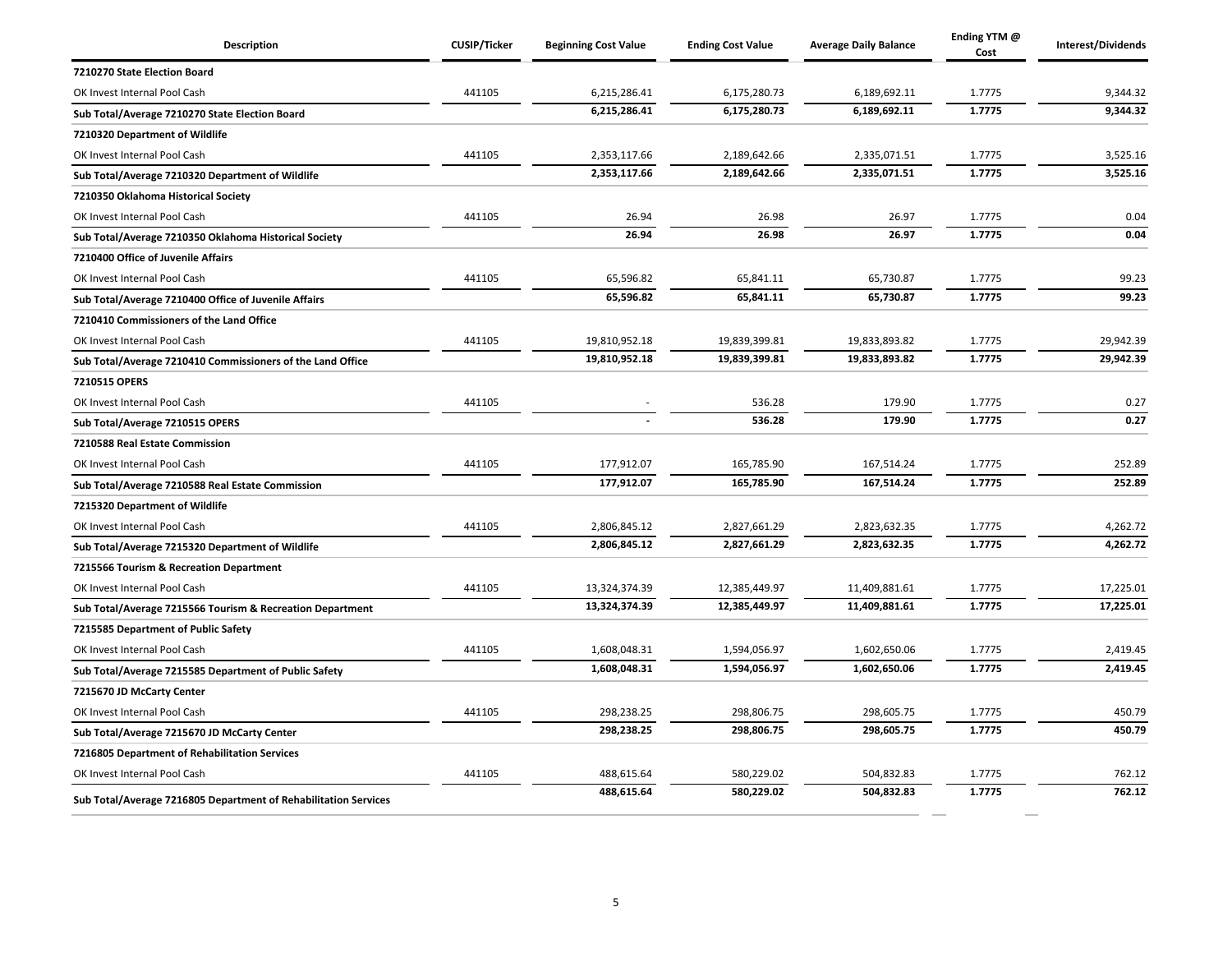| Description                                                     | <b>CUSIP/Ticker</b> | <b>Beginning Cost Value</b> | <b>Ending Cost Value</b> | <b>Average Daily Balance</b> | Ending YTM @<br>Cost | Interest/Dividends |
|-----------------------------------------------------------------|---------------------|-----------------------------|--------------------------|------------------------------|----------------------|--------------------|
| 7210270 State Election Board                                    |                     |                             |                          |                              |                      |                    |
| OK Invest Internal Pool Cash                                    | 441105              | 6,215,286.41                | 6,175,280.73             | 6,189,692.11                 | 1.7775               | 9,344.32           |
| Sub Total/Average 7210270 State Election Board                  |                     | 6,215,286.41                | 6,175,280.73             | 6,189,692.11                 | 1.7775               | 9,344.32           |
| 7210320 Department of Wildlife                                  |                     |                             |                          |                              |                      |                    |
| OK Invest Internal Pool Cash                                    | 441105              | 2,353,117.66                | 2,189,642.66             | 2,335,071.51                 | 1.7775               | 3,525.16           |
| Sub Total/Average 7210320 Department of Wildlife                |                     | 2,353,117.66                | 2,189,642.66             | 2,335,071.51                 | 1.7775               | 3,525.16           |
| 7210350 Oklahoma Historical Society                             |                     |                             |                          |                              |                      |                    |
| OK Invest Internal Pool Cash                                    | 441105              | 26.94                       | 26.98                    | 26.97                        | 1.7775               | 0.04               |
| Sub Total/Average 7210350 Oklahoma Historical Society           |                     | 26.94                       | 26.98                    | 26.97                        | 1.7775               | 0.04               |
| 7210400 Office of Juvenile Affairs                              |                     |                             |                          |                              |                      |                    |
| OK Invest Internal Pool Cash                                    | 441105              | 65,596.82                   | 65,841.11                | 65,730.87                    | 1.7775               | 99.23              |
| Sub Total/Average 7210400 Office of Juvenile Affairs            |                     | 65,596.82                   | 65,841.11                | 65,730.87                    | 1.7775               | 99.23              |
| 7210410 Commissioners of the Land Office                        |                     |                             |                          |                              |                      |                    |
| OK Invest Internal Pool Cash                                    | 441105              | 19,810,952.18               | 19,839,399.81            | 19,833,893.82                | 1.7775               | 29,942.39          |
| Sub Total/Average 7210410 Commissioners of the Land Office      |                     | 19,810,952.18               | 19,839,399.81            | 19,833,893.82                | 1.7775               | 29,942.39          |
| 7210515 OPERS                                                   |                     |                             |                          |                              |                      |                    |
| OK Invest Internal Pool Cash                                    | 441105              |                             | 536.28                   | 179.90                       | 1.7775               | 0.27               |
| Sub Total/Average 7210515 OPERS                                 |                     |                             | 536.28                   | 179.90                       | 1.7775               | 0.27               |
| 7210588 Real Estate Commission                                  |                     |                             |                          |                              |                      |                    |
| OK Invest Internal Pool Cash                                    | 441105              | 177,912.07                  | 165,785.90               | 167,514.24                   | 1.7775               | 252.89             |
| Sub Total/Average 7210588 Real Estate Commission                |                     | 177,912.07                  | 165,785.90               | 167,514.24                   | 1.7775               | 252.89             |
| 7215320 Department of Wildlife                                  |                     |                             |                          |                              |                      |                    |
| OK Invest Internal Pool Cash                                    | 441105              | 2,806,845.12                | 2,827,661.29             | 2,823,632.35                 | 1.7775               | 4,262.72           |
| Sub Total/Average 7215320 Department of Wildlife                |                     | 2,806,845.12                | 2,827,661.29             | 2,823,632.35                 | 1.7775               | 4,262.72           |
| 7215566 Tourism & Recreation Department                         |                     |                             |                          |                              |                      |                    |
| OK Invest Internal Pool Cash                                    | 441105              | 13,324,374.39               | 12,385,449.97            | 11,409,881.61                | 1.7775               | 17,225.01          |
| Sub Total/Average 7215566 Tourism & Recreation Department       |                     | 13,324,374.39               | 12,385,449.97            | 11,409,881.61                | 1.7775               | 17,225.01          |
| 7215585 Department of Public Safety                             |                     |                             |                          |                              |                      |                    |
| OK Invest Internal Pool Cash                                    | 441105              | 1,608,048.31                | 1,594,056.97             | 1,602,650.06                 | 1.7775               | 2,419.45           |
| Sub Total/Average 7215585 Department of Public Safety           |                     | 1.608.048.31                | 1.594.056.97             | 1,602,650.06                 | 1.7775               | 2,419.45           |
| 7215670 JD McCarty Center                                       |                     |                             |                          |                              |                      |                    |
| OK Invest Internal Pool Cash                                    | 441105              | 298,238.25                  | 298,806.75               | 298,605.75                   | 1.7775               | 450.79             |
| Sub Total/Average 7215670 JD McCarty Center                     |                     | 298,238.25                  | 298,806.75               | 298,605.75                   | 1.7775               | 450.79             |
| 7216805 Department of Rehabilitation Services                   |                     |                             |                          |                              |                      |                    |
| OK Invest Internal Pool Cash                                    | 441105              | 488,615.64                  | 580,229.02               | 504,832.83                   | 1.7775               | 762.12             |
| Sub Total/Average 7216805 Department of Rehabilitation Services |                     | 488,615.64                  | 580,229.02               | 504,832.83                   | 1.7775               | 762.12             |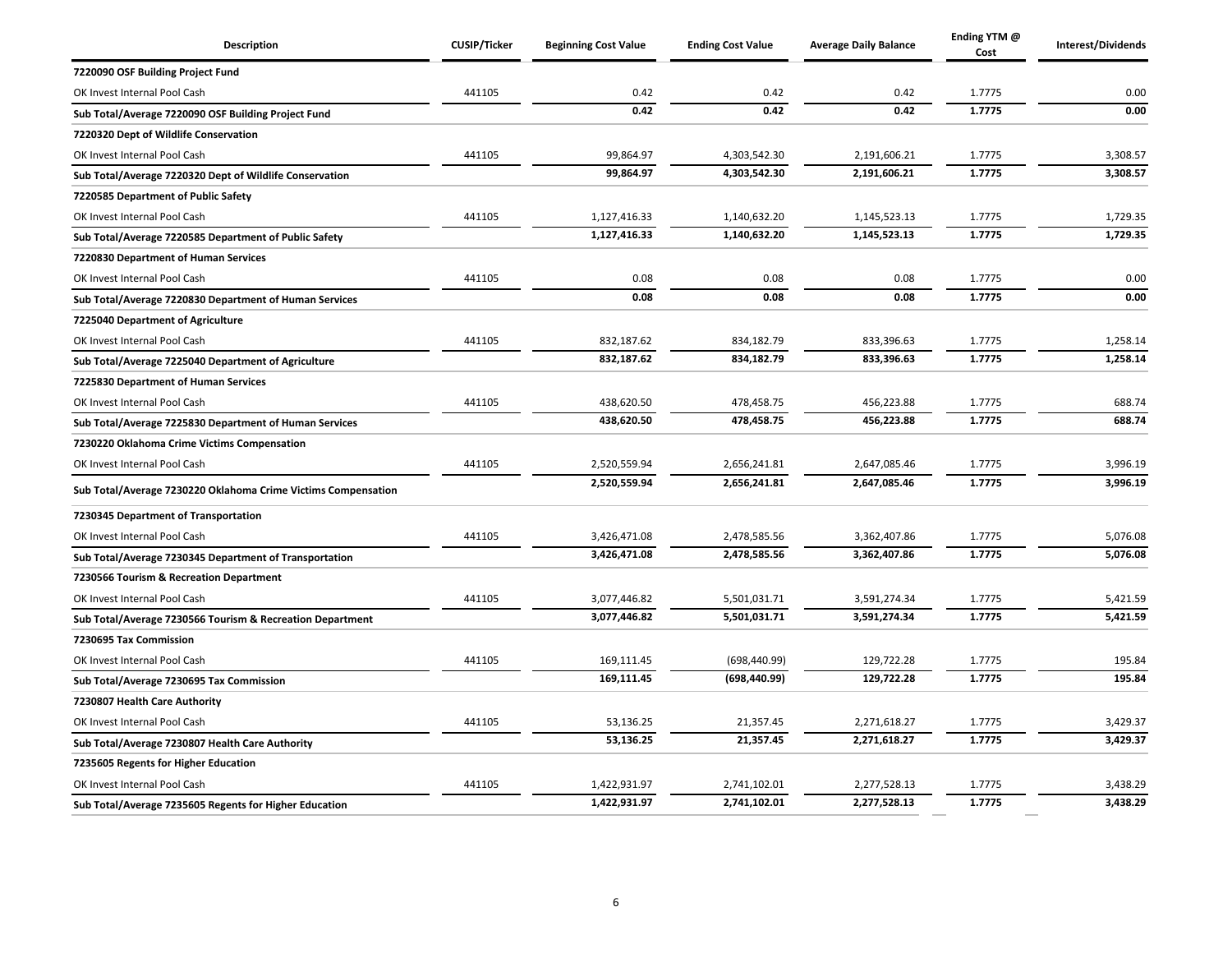| Description                                                   | <b>CUSIP/Ticker</b> | <b>Beginning Cost Value</b> | <b>Ending Cost Value</b> | <b>Average Daily Balance</b> | Ending YTM @<br>Cost | Interest/Dividends |
|---------------------------------------------------------------|---------------------|-----------------------------|--------------------------|------------------------------|----------------------|--------------------|
| 7220090 OSF Building Project Fund                             |                     |                             |                          |                              |                      |                    |
| OK Invest Internal Pool Cash                                  | 441105              | 0.42                        | 0.42                     | 0.42                         | 1.7775               | 0.00               |
| Sub Total/Average 7220090 OSF Building Project Fund           |                     | 0.42                        | 0.42                     | 0.42                         | 1.7775               | 0.00               |
| 7220320 Dept of Wildlife Conservation                         |                     |                             |                          |                              |                      |                    |
| OK Invest Internal Pool Cash                                  | 441105              | 99,864.97                   | 4,303,542.30             | 2,191,606.21                 | 1.7775               | 3,308.57           |
| Sub Total/Average 7220320 Dept of Wildlife Conservation       |                     | 99,864.97                   | 4,303,542.30             | 2,191,606.21                 | 1.7775               | 3,308.57           |
| 7220585 Department of Public Safety                           |                     |                             |                          |                              |                      |                    |
| OK Invest Internal Pool Cash                                  | 441105              | 1,127,416.33                | 1,140,632.20             | 1,145,523.13                 | 1.7775               | 1,729.35           |
| Sub Total/Average 7220585 Department of Public Safety         |                     | 1,127,416.33                | 1,140,632.20             | 1,145,523.13                 | 1.7775               | 1,729.35           |
| 7220830 Department of Human Services                          |                     |                             |                          |                              |                      |                    |
| OK Invest Internal Pool Cash                                  | 441105              | 0.08                        | 0.08                     | 0.08                         | 1.7775               | 0.00               |
| Sub Total/Average 7220830 Department of Human Services        |                     | 0.08                        | 0.08                     | 0.08                         | 1.7775               | 0.00               |
| 7225040 Department of Agriculture                             |                     |                             |                          |                              |                      |                    |
| OK Invest Internal Pool Cash                                  | 441105              | 832,187.62                  | 834,182.79               | 833,396.63                   | 1.7775               | 1,258.14           |
| Sub Total/Average 7225040 Department of Agriculture           |                     | 832,187.62                  | 834,182.79               | 833,396.63                   | 1.7775               | 1,258.14           |
| 7225830 Department of Human Services                          |                     |                             |                          |                              |                      |                    |
| OK Invest Internal Pool Cash                                  | 441105              | 438,620.50                  | 478,458.75               | 456,223.88                   | 1.7775               | 688.74             |
| Sub Total/Average 7225830 Department of Human Services        |                     | 438,620.50                  | 478,458.75               | 456,223.88                   | 1.7775               | 688.74             |
| 7230220 Oklahoma Crime Victims Compensation                   |                     |                             |                          |                              |                      |                    |
| OK Invest Internal Pool Cash                                  | 441105              | 2,520,559.94                | 2,656,241.81             | 2,647,085.46                 | 1.7775               | 3,996.19           |
| Sub Total/Average 7230220 Oklahoma Crime Victims Compensation |                     | 2,520,559.94                | 2,656,241.81             | 2,647,085.46                 | 1.7775               | 3,996.19           |
| 7230345 Department of Transportation                          |                     |                             |                          |                              |                      |                    |
| OK Invest Internal Pool Cash                                  | 441105              | 3,426,471.08                | 2,478,585.56             | 3,362,407.86                 | 1.7775               | 5,076.08           |
| Sub Total/Average 7230345 Department of Transportation        |                     | 3,426,471.08                | 2,478,585.56             | 3,362,407.86                 | 1.7775               | 5,076.08           |
| 7230566 Tourism & Recreation Department                       |                     |                             |                          |                              |                      |                    |
| OK Invest Internal Pool Cash                                  | 441105              | 3,077,446.82                | 5,501,031.71             | 3,591,274.34                 | 1.7775               | 5,421.59           |
| Sub Total/Average 7230566 Tourism & Recreation Department     |                     | 3,077,446.82                | 5,501,031.71             | 3,591,274.34                 | 1.7775               | 5,421.59           |
| 7230695 Tax Commission                                        |                     |                             |                          |                              |                      |                    |
| OK Invest Internal Pool Cash                                  | 441105              | 169,111.45                  | (698, 440.99)            | 129,722.28                   | 1.7775               | 195.84             |
| Sub Total/Average 7230695 Tax Commission                      |                     | 169,111.45                  | (698, 440.99)            | 129,722.28                   | 1.7775               | 195.84             |
| 7230807 Health Care Authority                                 |                     |                             |                          |                              |                      |                    |
| OK Invest Internal Pool Cash                                  | 441105              | 53,136.25                   | 21,357.45                | 2,271,618.27                 | 1.7775               | 3,429.37           |
| Sub Total/Average 7230807 Health Care Authority               |                     | 53,136.25                   | 21,357.45                | 2,271,618.27                 | 1.7775               | 3,429.37           |
| 7235605 Regents for Higher Education                          |                     |                             |                          |                              |                      |                    |
| OK Invest Internal Pool Cash                                  | 441105              | 1,422,931.97                | 2,741,102.01             | 2,277,528.13                 | 1.7775               | 3,438.29           |
| Sub Total/Average 7235605 Regents for Higher Education        |                     | 1,422,931.97                | 2,741,102.01             | 2,277,528.13                 | 1.7775               | 3,438.29           |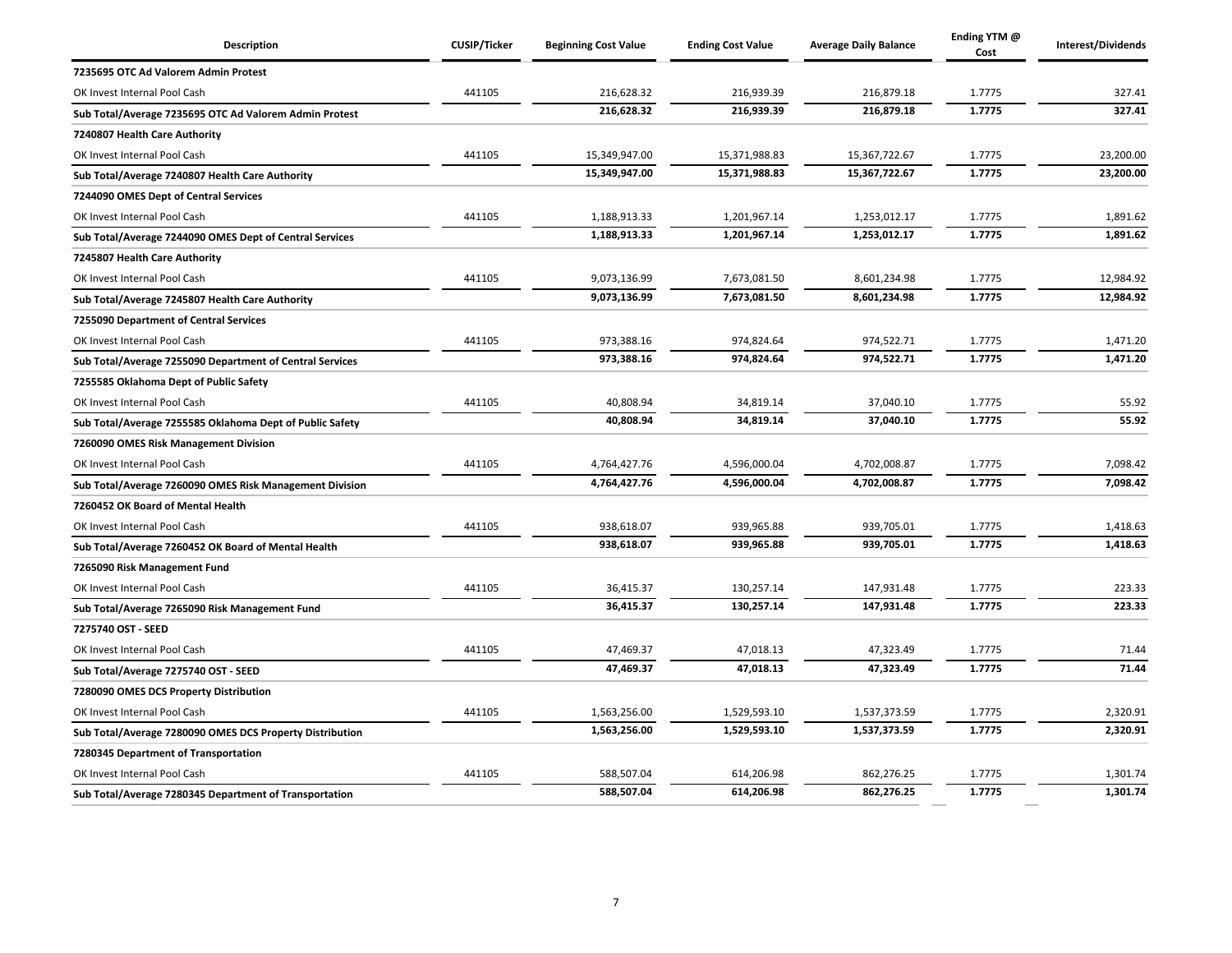| <b>Description</b>                                       | <b>CUSIP/Ticker</b> | <b>Beginning Cost Value</b> | <b>Ending Cost Value</b> | <b>Average Daily Balance</b> | Ending YTM @<br>Cost | Interest/Dividends |
|----------------------------------------------------------|---------------------|-----------------------------|--------------------------|------------------------------|----------------------|--------------------|
| 7235695 OTC Ad Valorem Admin Protest                     |                     |                             |                          |                              |                      |                    |
| OK Invest Internal Pool Cash                             | 441105              | 216,628.32                  | 216,939.39               | 216,879.18                   | 1.7775               | 327.41             |
| Sub Total/Average 7235695 OTC Ad Valorem Admin Protest   |                     | 216,628.32                  | 216,939.39               | 216,879.18                   | 1.7775               | 327.41             |
| 7240807 Health Care Authority                            |                     |                             |                          |                              |                      |                    |
| OK Invest Internal Pool Cash                             | 441105              | 15,349,947.00               | 15,371,988.83            | 15,367,722.67                | 1.7775               | 23,200.00          |
| Sub Total/Average 7240807 Health Care Authority          |                     | 15,349,947.00               | 15,371,988.83            | 15,367,722.67                | 1.7775               | 23,200.00          |
| 7244090 OMES Dept of Central Services                    |                     |                             |                          |                              |                      |                    |
| OK Invest Internal Pool Cash                             | 441105              | 1,188,913.33                | 1,201,967.14             | 1,253,012.17                 | 1.7775               | 1,891.62           |
| Sub Total/Average 7244090 OMES Dept of Central Services  |                     | 1,188,913.33                | 1,201,967.14             | 1,253,012.17                 | 1.7775               | 1,891.62           |
| 7245807 Health Care Authority                            |                     |                             |                          |                              |                      |                    |
| OK Invest Internal Pool Cash                             | 441105              | 9,073,136.99                | 7,673,081.50             | 8,601,234.98                 | 1.7775               | 12,984.92          |
| Sub Total/Average 7245807 Health Care Authority          |                     | 9,073,136.99                | 7,673,081.50             | 8,601,234.98                 | 1.7775               | 12,984.92          |
| 7255090 Department of Central Services                   |                     |                             |                          |                              |                      |                    |
| OK Invest Internal Pool Cash                             | 441105              | 973,388.16                  | 974,824.64               | 974,522.71                   | 1.7775               | 1,471.20           |
| Sub Total/Average 7255090 Department of Central Services |                     | 973,388.16                  | 974,824.64               | 974,522.71                   | 1.7775               | 1,471.20           |
| 7255585 Oklahoma Dept of Public Safety                   |                     |                             |                          |                              |                      |                    |
| OK Invest Internal Pool Cash                             | 441105              | 40,808.94                   | 34,819.14                | 37,040.10                    | 1.7775               | 55.92              |
| Sub Total/Average 7255585 Oklahoma Dept of Public Safety |                     | 40,808.94                   | 34,819.14                | 37,040.10                    | 1.7775               | 55.92              |
| 7260090 OMES Risk Management Division                    |                     |                             |                          |                              |                      |                    |
| OK Invest Internal Pool Cash                             | 441105              | 4,764,427.76                | 4,596,000.04             | 4,702,008.87                 | 1.7775               | 7,098.42           |
| Sub Total/Average 7260090 OMES Risk Management Division  |                     | 4,764,427.76                | 4,596,000.04             | 4,702,008.87                 | 1.7775               | 7,098.42           |
| 7260452 OK Board of Mental Health                        |                     |                             |                          |                              |                      |                    |
| OK Invest Internal Pool Cash                             | 441105              | 938,618.07                  | 939,965.88               | 939,705.01                   | 1.7775               | 1,418.63           |
| Sub Total/Average 7260452 OK Board of Mental Health      |                     | 938,618.07                  | 939,965.88               | 939,705.01                   | 1.7775               | 1,418.63           |
| 7265090 Risk Management Fund                             |                     |                             |                          |                              |                      |                    |
| OK Invest Internal Pool Cash                             | 441105              | 36,415.37                   | 130,257.14               | 147,931.48                   | 1.7775               | 223.33             |
| Sub Total/Average 7265090 Risk Management Fund           |                     | 36,415.37                   | 130,257.14               | 147,931.48                   | 1.7775               | 223.33             |
| 7275740 OST - SEED                                       |                     |                             |                          |                              |                      |                    |
| OK Invest Internal Pool Cash                             | 441105              | 47,469.37                   | 47,018.13                | 47,323.49                    | 1.7775               | 71.44              |
| Sub Total/Average 7275740 OST - SEED                     |                     | 47,469.37                   | 47,018.13                | 47,323.49                    | 1.7775               | 71.44              |
| 7280090 OMES DCS Property Distribution                   |                     |                             |                          |                              |                      |                    |
| OK Invest Internal Pool Cash                             | 441105              | 1,563,256.00                | 1,529,593.10             | 1,537,373.59                 | 1.7775               | 2,320.91           |
| Sub Total/Average 7280090 OMES DCS Property Distribution |                     | 1,563,256.00                | 1,529,593.10             | 1,537,373.59                 | 1.7775               | 2,320.91           |
| 7280345 Department of Transportation                     |                     |                             |                          |                              |                      |                    |
| OK Invest Internal Pool Cash                             | 441105              | 588,507.04                  | 614,206.98               | 862,276.25                   | 1.7775               | 1,301.74           |
| Sub Total/Average 7280345 Department of Transportation   |                     | 588,507.04                  | 614,206.98               | 862,276.25                   | 1.7775               | 1,301.74           |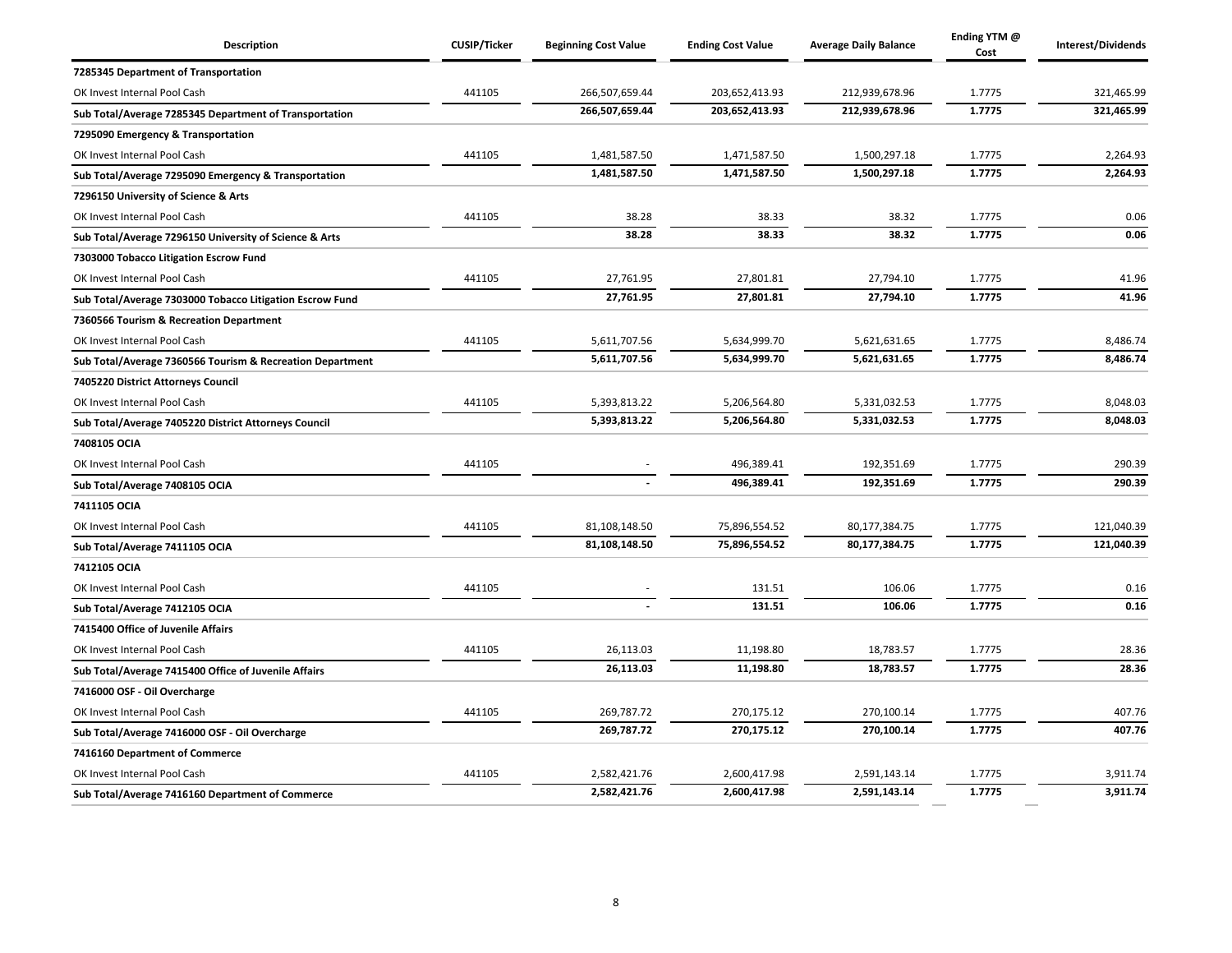| <b>Description</b>                                        | <b>CUSIP/Ticker</b> | <b>Beginning Cost Value</b> | <b>Ending Cost Value</b> | <b>Average Daily Balance</b> | Ending YTM @<br>Cost | Interest/Dividends |
|-----------------------------------------------------------|---------------------|-----------------------------|--------------------------|------------------------------|----------------------|--------------------|
| 7285345 Department of Transportation                      |                     |                             |                          |                              |                      |                    |
| OK Invest Internal Pool Cash                              | 441105              | 266,507,659.44              | 203,652,413.93           | 212,939,678.96               | 1.7775               | 321,465.99         |
| Sub Total/Average 7285345 Department of Transportation    |                     | 266,507,659.44              | 203,652,413.93           | 212,939,678.96               | 1.7775               | 321,465.99         |
| 7295090 Emergency & Transportation                        |                     |                             |                          |                              |                      |                    |
| OK Invest Internal Pool Cash                              | 441105              | 1,481,587.50                | 1,471,587.50             | 1,500,297.18                 | 1.7775               | 2,264.93           |
| Sub Total/Average 7295090 Emergency & Transportation      |                     | 1,481,587.50                | 1,471,587.50             | 1,500,297.18                 | 1.7775               | 2,264.93           |
| 7296150 University of Science & Arts                      |                     |                             |                          |                              |                      |                    |
| OK Invest Internal Pool Cash                              | 441105              | 38.28                       | 38.33                    | 38.32                        | 1.7775               | 0.06               |
| Sub Total/Average 7296150 University of Science & Arts    |                     | 38.28                       | 38.33                    | 38.32                        | 1.7775               | 0.06               |
| 7303000 Tobacco Litigation Escrow Fund                    |                     |                             |                          |                              |                      |                    |
| OK Invest Internal Pool Cash                              | 441105              | 27,761.95                   | 27,801.81                | 27,794.10                    | 1.7775               | 41.96              |
| Sub Total/Average 7303000 Tobacco Litigation Escrow Fund  |                     | 27,761.95                   | 27,801.81                | 27,794.10                    | 1.7775               | 41.96              |
| 7360566 Tourism & Recreation Department                   |                     |                             |                          |                              |                      |                    |
| OK Invest Internal Pool Cash                              | 441105              | 5,611,707.56                | 5,634,999.70             | 5,621,631.65                 | 1.7775               | 8,486.74           |
| Sub Total/Average 7360566 Tourism & Recreation Department |                     | 5,611,707.56                | 5,634,999.70             | 5,621,631.65                 | 1.7775               | 8,486.74           |
| 7405220 District Attorneys Council                        |                     |                             |                          |                              |                      |                    |
| OK Invest Internal Pool Cash                              | 441105              | 5,393,813.22                | 5,206,564.80             | 5,331,032.53                 | 1.7775               | 8,048.03           |
| Sub Total/Average 7405220 District Attorneys Council      |                     | 5,393,813.22                | 5,206,564.80             | 5,331,032.53                 | 1.7775               | 8,048.03           |
| 7408105 OCIA                                              |                     |                             |                          |                              |                      |                    |
| OK Invest Internal Pool Cash                              | 441105              |                             | 496,389.41               | 192,351.69                   | 1.7775               | 290.39             |
| Sub Total/Average 7408105 OCIA                            |                     |                             | 496,389.41               | 192,351.69                   | 1.7775               | 290.39             |
| 7411105 OCIA                                              |                     |                             |                          |                              |                      |                    |
| OK Invest Internal Pool Cash                              | 441105              | 81,108,148.50               | 75,896,554.52            | 80,177,384.75                | 1.7775               | 121,040.39         |
| Sub Total/Average 7411105 OCIA                            |                     | 81,108,148.50               | 75,896,554.52            | 80,177,384.75                | 1.7775               | 121,040.39         |
| 7412105 OCIA                                              |                     |                             |                          |                              |                      |                    |
| OK Invest Internal Pool Cash                              | 441105              |                             | 131.51                   | 106.06                       | 1.7775               | 0.16               |
| Sub Total/Average 7412105 OCIA                            |                     |                             | 131.51                   | 106.06                       | 1.7775               | 0.16               |
| 7415400 Office of Juvenile Affairs                        |                     |                             |                          |                              |                      |                    |
| OK Invest Internal Pool Cash                              | 441105              | 26,113.03                   | 11,198.80                | 18,783.57                    | 1.7775               | 28.36              |
| Sub Total/Average 7415400 Office of Juvenile Affairs      |                     | 26,113.03                   | 11,198.80                | 18,783.57                    | 1.7775               | 28.36              |
| 7416000 OSF - Oil Overcharge                              |                     |                             |                          |                              |                      |                    |
| OK Invest Internal Pool Cash                              | 441105              | 269,787.72                  | 270,175.12               | 270,100.14                   | 1.7775               | 407.76             |
| Sub Total/Average 7416000 OSF - Oil Overcharge            |                     | 269,787.72                  | 270,175.12               | 270,100.14                   | 1.7775               | 407.76             |
| 7416160 Department of Commerce                            |                     |                             |                          |                              |                      |                    |
| OK Invest Internal Pool Cash                              | 441105              | 2,582,421.76                | 2,600,417.98             | 2,591,143.14                 | 1.7775               | 3,911.74           |
| Sub Total/Average 7416160 Department of Commerce          |                     | 2,582,421.76                | 2,600,417.98             | 2,591,143.14                 | 1.7775               | 3,911.74           |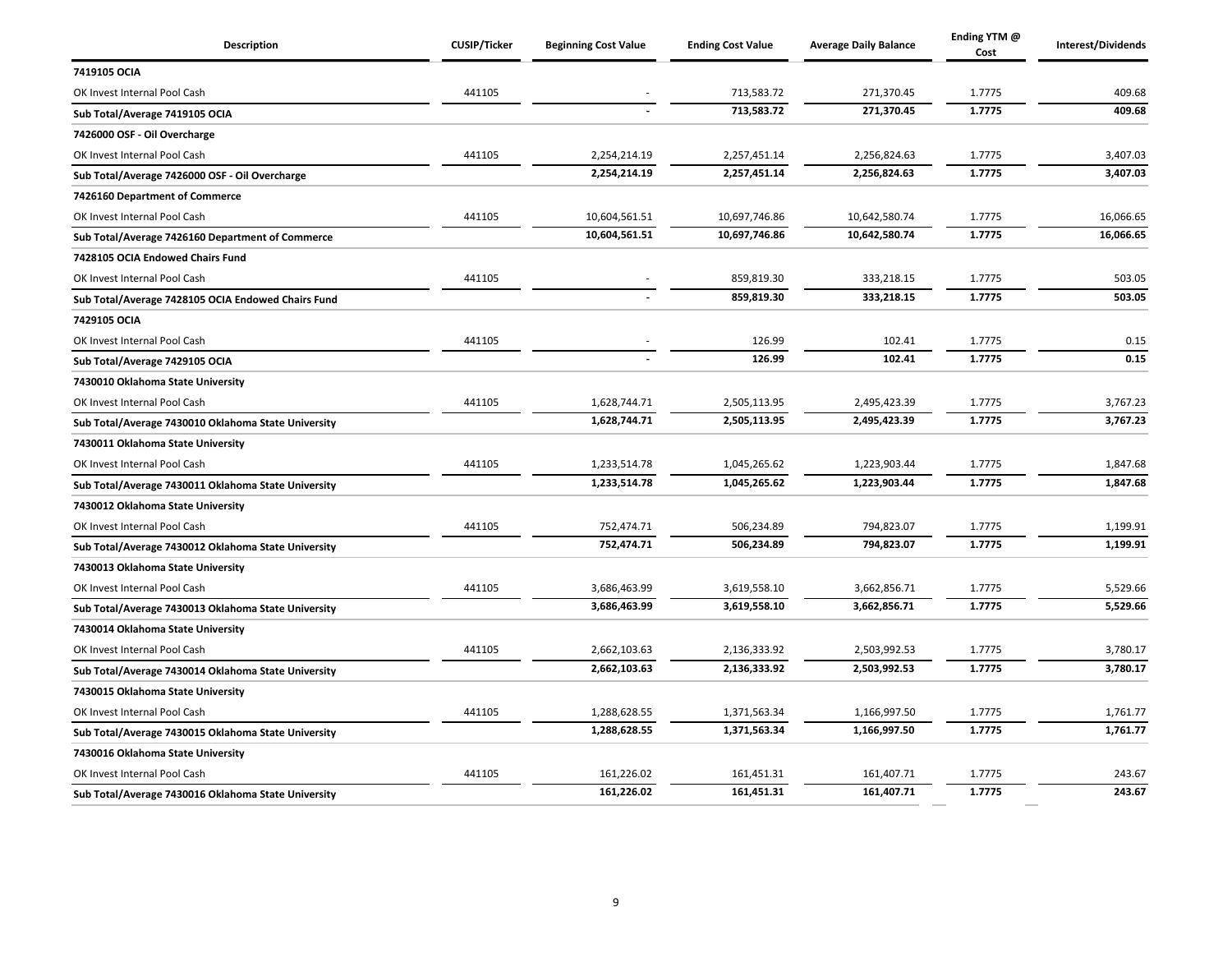| Description                                         | <b>CUSIP/Ticker</b> | <b>Beginning Cost Value</b> | <b>Ending Cost Value</b> | <b>Average Daily Balance</b> | Ending YTM @<br>Cost | Interest/Dividends |
|-----------------------------------------------------|---------------------|-----------------------------|--------------------------|------------------------------|----------------------|--------------------|
| 7419105 OCIA                                        |                     |                             |                          |                              |                      |                    |
| OK Invest Internal Pool Cash                        | 441105              |                             | 713,583.72               | 271,370.45                   | 1.7775               | 409.68             |
| Sub Total/Average 7419105 OCIA                      |                     |                             | 713,583.72               | 271,370.45                   | 1.7775               | 409.68             |
| 7426000 OSF - Oil Overcharge                        |                     |                             |                          |                              |                      |                    |
| OK Invest Internal Pool Cash                        | 441105              | 2,254,214.19                | 2,257,451.14             | 2,256,824.63                 | 1.7775               | 3,407.03           |
| Sub Total/Average 7426000 OSF - Oil Overcharge      |                     | 2,254,214.19                | 2,257,451.14             | 2,256,824.63                 | 1.7775               | 3,407.03           |
| 7426160 Department of Commerce                      |                     |                             |                          |                              |                      |                    |
| OK Invest Internal Pool Cash                        | 441105              | 10,604,561.51               | 10,697,746.86            | 10,642,580.74                | 1.7775               | 16,066.65          |
| Sub Total/Average 7426160 Department of Commerce    |                     | 10,604,561.51               | 10,697,746.86            | 10,642,580.74                | 1.7775               | 16,066.65          |
| 7428105 OCIA Endowed Chairs Fund                    |                     |                             |                          |                              |                      |                    |
| OK Invest Internal Pool Cash                        | 441105              |                             | 859,819.30               | 333,218.15                   | 1.7775               | 503.05             |
| Sub Total/Average 7428105 OCIA Endowed Chairs Fund  |                     |                             | 859,819.30               | 333,218.15                   | 1.7775               | 503.05             |
| 7429105 OCIA                                        |                     |                             |                          |                              |                      |                    |
| OK Invest Internal Pool Cash                        | 441105              |                             | 126.99                   | 102.41                       | 1.7775               | 0.15               |
| Sub Total/Average 7429105 OCIA                      |                     |                             | 126.99                   | 102.41                       | 1.7775               | 0.15               |
| 7430010 Oklahoma State University                   |                     |                             |                          |                              |                      |                    |
| OK Invest Internal Pool Cash                        | 441105              | 1,628,744.71                | 2,505,113.95             | 2,495,423.39                 | 1.7775               | 3,767.23           |
| Sub Total/Average 7430010 Oklahoma State University |                     | 1,628,744.71                | 2,505,113.95             | 2,495,423.39                 | 1.7775               | 3,767.23           |
| 7430011 Oklahoma State University                   |                     |                             |                          |                              |                      |                    |
| OK Invest Internal Pool Cash                        | 441105              | 1,233,514.78                | 1,045,265.62             | 1,223,903.44                 | 1.7775               | 1,847.68           |
| Sub Total/Average 7430011 Oklahoma State University |                     | 1,233,514.78                | 1,045,265.62             | 1,223,903.44                 | 1.7775               | 1,847.68           |
| 7430012 Oklahoma State University                   |                     |                             |                          |                              |                      |                    |
| OK Invest Internal Pool Cash                        | 441105              | 752,474.71                  | 506,234.89               | 794,823.07                   | 1.7775               | 1,199.91           |
| Sub Total/Average 7430012 Oklahoma State University |                     | 752,474.71                  | 506,234.89               | 794,823.07                   | 1.7775               | 1,199.91           |
| 7430013 Oklahoma State University                   |                     |                             |                          |                              |                      |                    |
| OK Invest Internal Pool Cash                        | 441105              | 3,686,463.99                | 3,619,558.10             | 3,662,856.71                 | 1.7775               | 5,529.66           |
| Sub Total/Average 7430013 Oklahoma State University |                     | 3,686,463.99                | 3,619,558.10             | 3,662,856.71                 | 1.7775               | 5,529.66           |
| 7430014 Oklahoma State University                   |                     |                             |                          |                              |                      |                    |
| OK Invest Internal Pool Cash                        | 441105              | 2,662,103.63                | 2,136,333.92             | 2,503,992.53                 | 1.7775               | 3,780.17           |
| Sub Total/Average 7430014 Oklahoma State University |                     | 2,662,103.63                | 2,136,333.92             | 2,503,992.53                 | 1.7775               | 3,780.17           |
| 7430015 Oklahoma State University                   |                     |                             |                          |                              |                      |                    |
| OK Invest Internal Pool Cash                        | 441105              | 1,288,628.55                | 1,371,563.34             | 1,166,997.50                 | 1.7775               | 1,761.77           |
| Sub Total/Average 7430015 Oklahoma State University |                     | 1,288,628.55                | 1,371,563.34             | 1,166,997.50                 | 1.7775               | 1,761.77           |
| 7430016 Oklahoma State University                   |                     |                             |                          |                              |                      |                    |
| OK Invest Internal Pool Cash                        | 441105              | 161,226.02                  | 161,451.31               | 161,407.71                   | 1.7775               | 243.67             |
| Sub Total/Average 7430016 Oklahoma State University |                     | 161,226.02                  | 161,451.31               | 161,407.71                   | 1.7775               | 243.67             |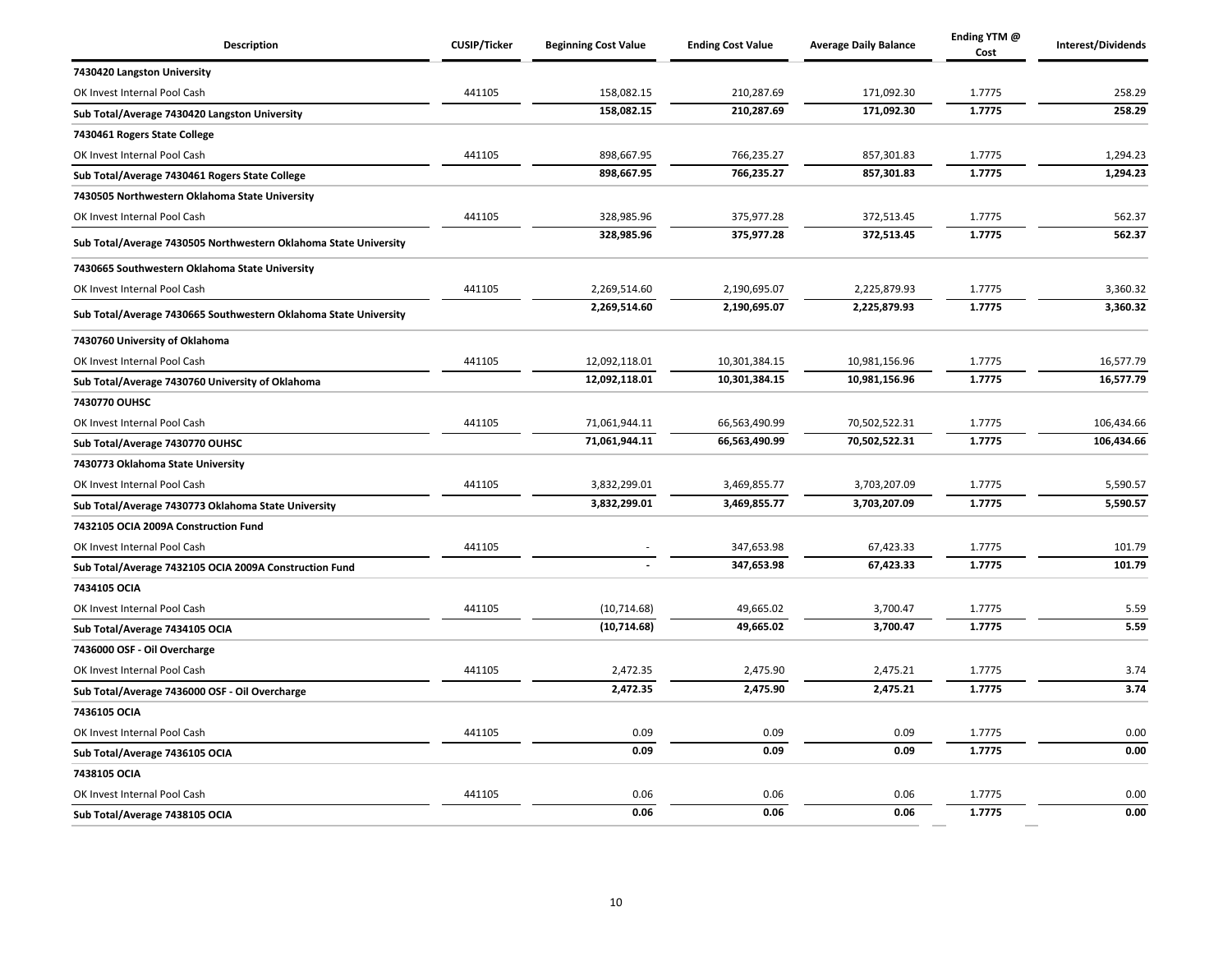| Description                                                      | <b>CUSIP/Ticker</b> | <b>Beginning Cost Value</b> | <b>Ending Cost Value</b> | <b>Average Daily Balance</b> | Ending YTM @<br>Cost | Interest/Dividends |
|------------------------------------------------------------------|---------------------|-----------------------------|--------------------------|------------------------------|----------------------|--------------------|
| 7430420 Langston University                                      |                     |                             |                          |                              |                      |                    |
| OK Invest Internal Pool Cash                                     | 441105              | 158,082.15                  | 210,287.69               | 171,092.30                   | 1.7775               | 258.29             |
| Sub Total/Average 7430420 Langston University                    |                     | 158,082.15                  | 210,287.69               | 171,092.30                   | 1.7775               | 258.29             |
| 7430461 Rogers State College                                     |                     |                             |                          |                              |                      |                    |
| OK Invest Internal Pool Cash                                     | 441105              | 898,667.95                  | 766,235.27               | 857,301.83                   | 1.7775               | 1,294.23           |
| Sub Total/Average 7430461 Rogers State College                   |                     | 898,667.95                  | 766,235.27               | 857,301.83                   | 1.7775               | 1,294.23           |
| 7430505 Northwestern Oklahoma State University                   |                     |                             |                          |                              |                      |                    |
| OK Invest Internal Pool Cash                                     | 441105              | 328,985.96                  | 375,977.28               | 372,513.45                   | 1.7775               | 562.37             |
| Sub Total/Average 7430505 Northwestern Oklahoma State University |                     | 328,985.96                  | 375,977.28               | 372,513.45                   | 1.7775               | 562.37             |
| 7430665 Southwestern Oklahoma State University                   |                     |                             |                          |                              |                      |                    |
| OK Invest Internal Pool Cash                                     | 441105              | 2,269,514.60                | 2,190,695.07             | 2,225,879.93                 | 1.7775               | 3,360.32           |
| Sub Total/Average 7430665 Southwestern Oklahoma State University |                     | 2,269,514.60                | 2,190,695.07             | 2,225,879.93                 | 1.7775               | 3,360.32           |
| 7430760 University of Oklahoma                                   |                     |                             |                          |                              |                      |                    |
| OK Invest Internal Pool Cash                                     | 441105              | 12,092,118.01               | 10,301,384.15            | 10,981,156.96                | 1.7775               | 16,577.79          |
| Sub Total/Average 7430760 University of Oklahoma                 |                     | 12,092,118.01               | 10,301,384.15            | 10,981,156.96                | 1.7775               | 16,577.79          |
| 7430770 OUHSC                                                    |                     |                             |                          |                              |                      |                    |
| OK Invest Internal Pool Cash                                     | 441105              | 71,061,944.11               | 66,563,490.99            | 70,502,522.31                | 1.7775               | 106,434.66         |
| Sub Total/Average 7430770 OUHSC                                  |                     | 71,061,944.11               | 66,563,490.99            | 70,502,522.31                | 1.7775               | 106,434.66         |
| 7430773 Oklahoma State University                                |                     |                             |                          |                              |                      |                    |
| OK Invest Internal Pool Cash                                     | 441105              | 3,832,299.01                | 3,469,855.77             | 3,703,207.09                 | 1.7775               | 5,590.57           |
| Sub Total/Average 7430773 Oklahoma State University              |                     | 3,832,299.01                | 3,469,855.77             | 3,703,207.09                 | 1.7775               | 5,590.57           |
| 7432105 OCIA 2009A Construction Fund                             |                     |                             |                          |                              |                      |                    |
| OK Invest Internal Pool Cash                                     | 441105              |                             | 347,653.98               | 67,423.33                    | 1.7775               | 101.79             |
| Sub Total/Average 7432105 OCIA 2009A Construction Fund           |                     |                             | 347,653.98               | 67,423.33                    | 1.7775               | 101.79             |
| 7434105 OCIA                                                     |                     |                             |                          |                              |                      |                    |
| OK Invest Internal Pool Cash                                     | 441105              | (10, 714.68)                | 49,665.02                | 3,700.47                     | 1.7775               | 5.59               |
| Sub Total/Average 7434105 OCIA                                   |                     | (10, 714.68)                | 49,665.02                | 3,700.47                     | 1.7775               | 5.59               |
| 7436000 OSF - Oil Overcharge                                     |                     |                             |                          |                              |                      |                    |
| OK Invest Internal Pool Cash                                     | 441105              | 2,472.35                    | 2,475.90                 | 2,475.21                     | 1.7775               | 3.74               |
| Sub Total/Average 7436000 OSF - Oil Overcharge                   |                     | 2,472.35                    | 2,475.90                 | 2,475.21                     | 1.7775               | 3.74               |
| 7436105 OCIA                                                     |                     |                             |                          |                              |                      |                    |
| OK Invest Internal Pool Cash                                     | 441105              | 0.09                        | 0.09                     | 0.09                         | 1.7775               | 0.00               |
| Sub Total/Average 7436105 OCIA                                   |                     | 0.09                        | 0.09                     | 0.09                         | 1.7775               | 0.00               |
| 7438105 OCIA                                                     |                     |                             |                          |                              |                      |                    |
| OK Invest Internal Pool Cash                                     | 441105              | 0.06                        | 0.06                     | 0.06                         | 1.7775               | 0.00               |
| Sub Total/Average 7438105 OCIA                                   |                     | 0.06                        | 0.06                     | 0.06                         | 1.7775               | 0.00               |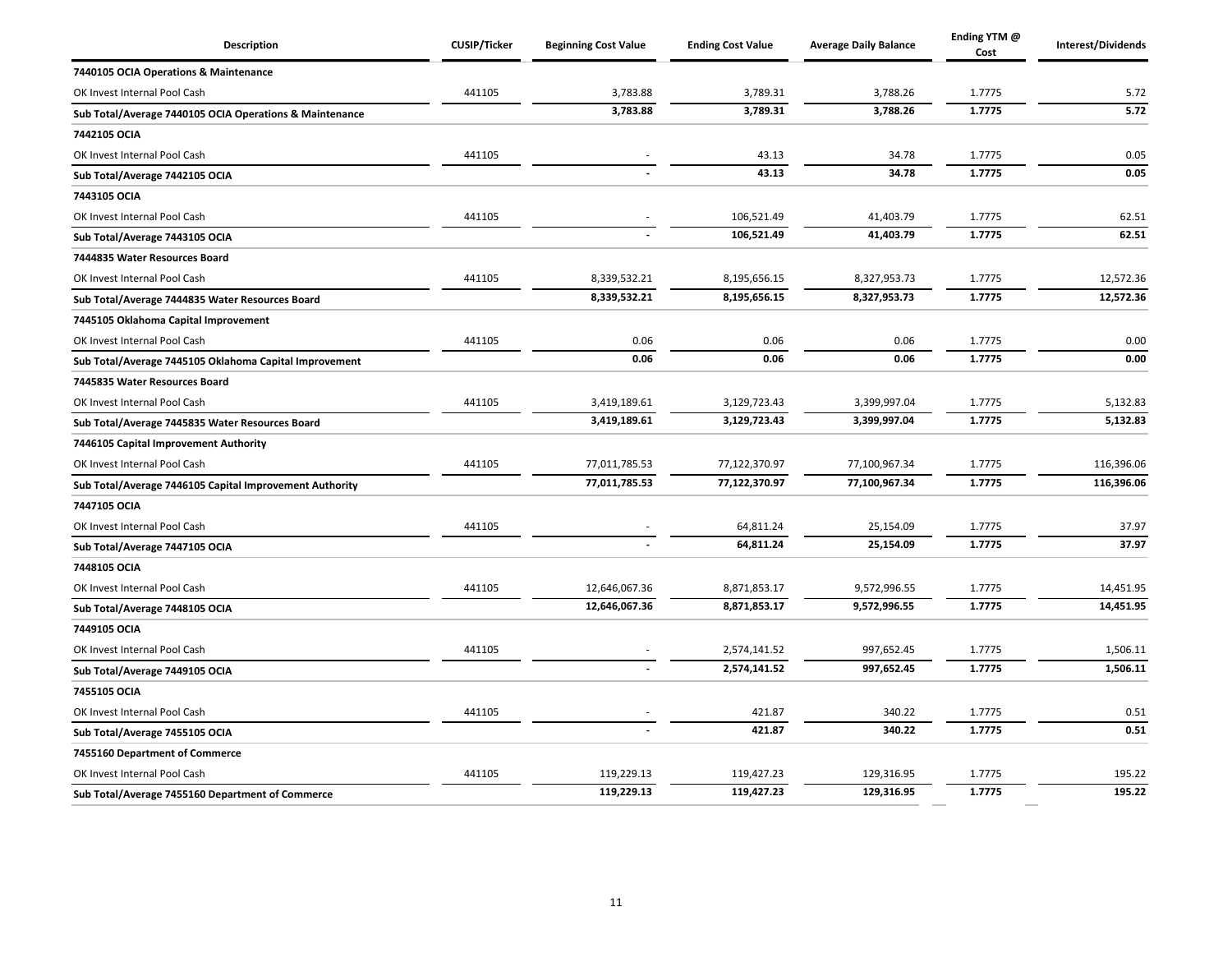| <b>Description</b>                                      | <b>CUSIP/Ticker</b> | <b>Beginning Cost Value</b> | <b>Ending Cost Value</b> | <b>Average Daily Balance</b> | Ending YTM @<br>Cost | Interest/Dividends |
|---------------------------------------------------------|---------------------|-----------------------------|--------------------------|------------------------------|----------------------|--------------------|
| 7440105 OCIA Operations & Maintenance                   |                     |                             |                          |                              |                      |                    |
| OK Invest Internal Pool Cash                            | 441105              | 3,783.88                    | 3,789.31                 | 3,788.26                     | 1.7775               | 5.72               |
| Sub Total/Average 7440105 OCIA Operations & Maintenance |                     | 3,783.88                    | 3,789.31                 | 3,788.26                     | 1.7775               | 5.72               |
| 7442105 OCIA                                            |                     |                             |                          |                              |                      |                    |
| OK Invest Internal Pool Cash                            | 441105              |                             | 43.13                    | 34.78                        | 1.7775               | 0.05               |
| Sub Total/Average 7442105 OCIA                          |                     |                             | 43.13                    | 34.78                        | 1.7775               | 0.05               |
| 7443105 OCIA                                            |                     |                             |                          |                              |                      |                    |
| OK Invest Internal Pool Cash                            | 441105              |                             | 106,521.49               | 41,403.79                    | 1.7775               | 62.51              |
| Sub Total/Average 7443105 OCIA                          |                     |                             | 106,521.49               | 41,403.79                    | 1.7775               | 62.51              |
| 7444835 Water Resources Board                           |                     |                             |                          |                              |                      |                    |
| OK Invest Internal Pool Cash                            | 441105              | 8,339,532.21                | 8,195,656.15             | 8,327,953.73                 | 1.7775               | 12,572.36          |
| Sub Total/Average 7444835 Water Resources Board         |                     | 8,339,532.21                | 8,195,656.15             | 8,327,953.73                 | 1.7775               | 12,572.36          |
| 7445105 Oklahoma Capital Improvement                    |                     |                             |                          |                              |                      |                    |
| OK Invest Internal Pool Cash                            | 441105              | 0.06                        | 0.06                     | 0.06                         | 1.7775               | 0.00               |
| Sub Total/Average 7445105 Oklahoma Capital Improvement  |                     | 0.06                        | 0.06                     | 0.06                         | 1.7775               | 0.00               |
| 7445835 Water Resources Board                           |                     |                             |                          |                              |                      |                    |
| OK Invest Internal Pool Cash                            | 441105              | 3,419,189.61                | 3,129,723.43             | 3,399,997.04                 | 1.7775               | 5,132.83           |
| Sub Total/Average 7445835 Water Resources Board         |                     | 3,419,189.61                | 3,129,723.43             | 3,399,997.04                 | 1.7775               | 5,132.83           |
| 7446105 Capital Improvement Authority                   |                     |                             |                          |                              |                      |                    |
| OK Invest Internal Pool Cash                            | 441105              | 77,011,785.53               | 77,122,370.97            | 77,100,967.34                | 1.7775               | 116,396.06         |
| Sub Total/Average 7446105 Capital Improvement Authority |                     | 77,011,785.53               | 77,122,370.97            | 77,100,967.34                | 1.7775               | 116,396.06         |
| 7447105 OCIA                                            |                     |                             |                          |                              |                      |                    |
| OK Invest Internal Pool Cash                            | 441105              |                             | 64,811.24                | 25,154.09                    | 1.7775               | 37.97              |
| Sub Total/Average 7447105 OCIA                          |                     |                             | 64,811.24                | 25,154.09                    | 1.7775               | 37.97              |
| 7448105 OCIA                                            |                     |                             |                          |                              |                      |                    |
| OK Invest Internal Pool Cash                            | 441105              | 12,646,067.36               | 8,871,853.17             | 9,572,996.55                 | 1.7775               | 14,451.95          |
| Sub Total/Average 7448105 OCIA                          |                     | 12,646,067.36               | 8,871,853.17             | 9,572,996.55                 | 1.7775               | 14,451.95          |
| 7449105 OCIA                                            |                     |                             |                          |                              |                      |                    |
| OK Invest Internal Pool Cash                            | 441105              |                             | 2,574,141.52             | 997,652.45                   | 1.7775               | 1,506.11           |
| Sub Total/Average 7449105 OCIA                          |                     |                             | 2,574,141.52             | 997,652.45                   | 1.7775               | 1,506.11           |
| 7455105 OCIA                                            |                     |                             |                          |                              |                      |                    |
| OK Invest Internal Pool Cash                            | 441105              |                             | 421.87                   | 340.22                       | 1.7775               | 0.51               |
| Sub Total/Average 7455105 OCIA                          |                     |                             | 421.87                   | 340.22                       | 1.7775               | 0.51               |
| 7455160 Department of Commerce                          |                     |                             |                          |                              |                      |                    |
| OK Invest Internal Pool Cash                            | 441105              | 119,229.13                  | 119,427.23               | 129,316.95                   | 1.7775               | 195.22             |
| Sub Total/Average 7455160 Department of Commerce        |                     | 119,229.13                  | 119,427.23               | 129,316.95                   | 1.7775               | 195.22             |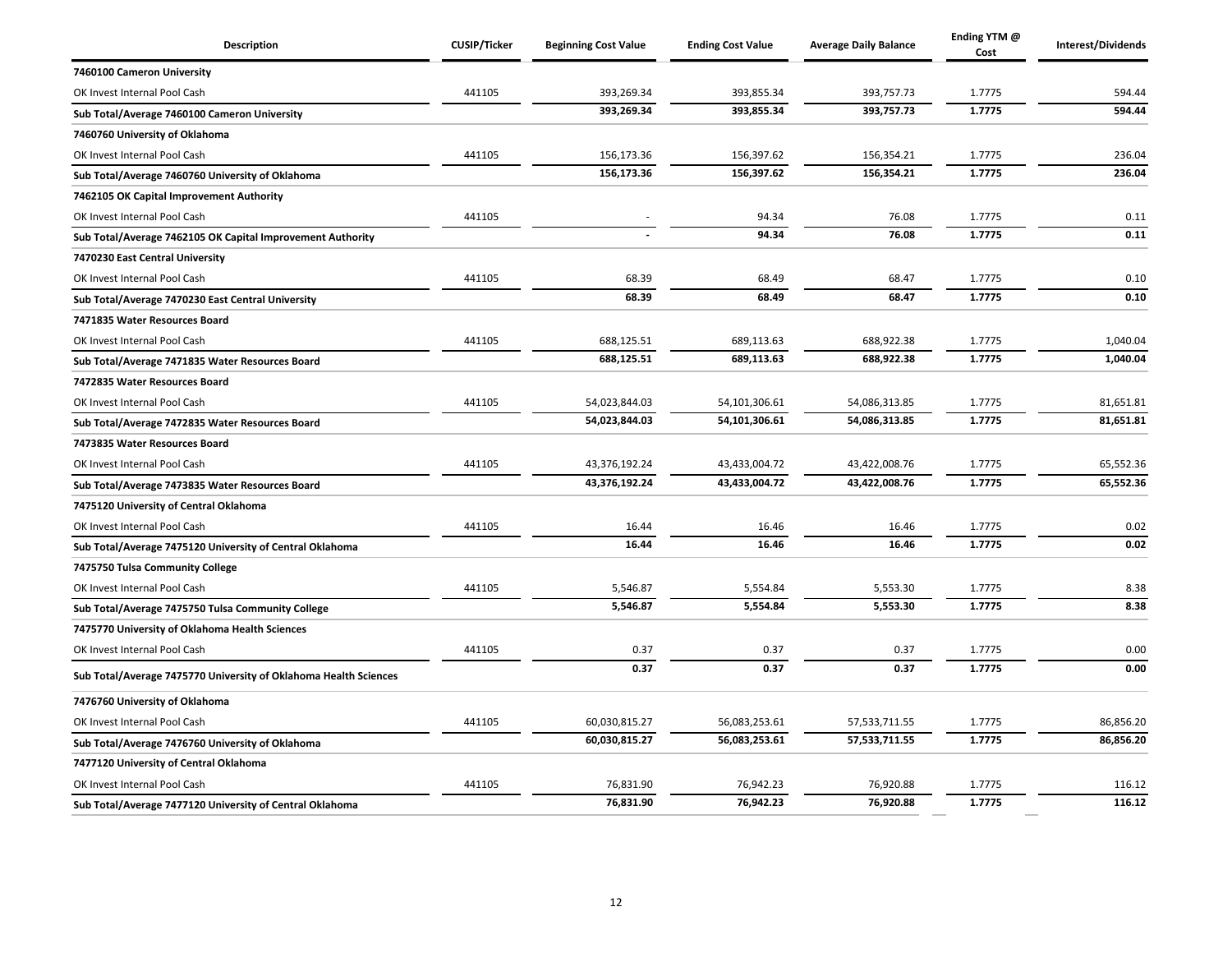| Description                                                      | <b>CUSIP/Ticker</b> | <b>Beginning Cost Value</b> | <b>Ending Cost Value</b> | <b>Average Daily Balance</b> | Ending YTM @<br>Cost | Interest/Dividends |
|------------------------------------------------------------------|---------------------|-----------------------------|--------------------------|------------------------------|----------------------|--------------------|
| 7460100 Cameron University                                       |                     |                             |                          |                              |                      |                    |
| OK Invest Internal Pool Cash                                     | 441105              | 393,269.34                  | 393,855.34               | 393,757.73                   | 1.7775               | 594.44             |
| Sub Total/Average 7460100 Cameron University                     |                     | 393,269.34                  | 393,855.34               | 393,757.73                   | 1.7775               | 594.44             |
| 7460760 University of Oklahoma                                   |                     |                             |                          |                              |                      |                    |
| OK Invest Internal Pool Cash                                     | 441105              | 156,173.36                  | 156,397.62               | 156,354.21                   | 1.7775               | 236.04             |
| Sub Total/Average 7460760 University of Oklahoma                 |                     | 156,173.36                  | 156,397.62               | 156,354.21                   | 1.7775               | 236.04             |
| 7462105 OK Capital Improvement Authority                         |                     |                             |                          |                              |                      |                    |
| OK Invest Internal Pool Cash                                     | 441105              |                             | 94.34                    | 76.08                        | 1.7775               | 0.11               |
| Sub Total/Average 7462105 OK Capital Improvement Authority       |                     |                             | 94.34                    | 76.08                        | 1.7775               | 0.11               |
| 7470230 East Central University                                  |                     |                             |                          |                              |                      |                    |
| OK Invest Internal Pool Cash                                     | 441105              | 68.39                       | 68.49                    | 68.47                        | 1.7775               | 0.10               |
| Sub Total/Average 7470230 East Central University                |                     | 68.39                       | 68.49                    | 68.47                        | 1.7775               | 0.10               |
| 7471835 Water Resources Board                                    |                     |                             |                          |                              |                      |                    |
| OK Invest Internal Pool Cash                                     | 441105              | 688,125.51                  | 689,113.63               | 688,922.38                   | 1.7775               | 1,040.04           |
| Sub Total/Average 7471835 Water Resources Board                  |                     | 688,125.51                  | 689,113.63               | 688,922.38                   | 1.7775               | 1,040.04           |
| 7472835 Water Resources Board                                    |                     |                             |                          |                              |                      |                    |
| OK Invest Internal Pool Cash                                     | 441105              | 54,023,844.03               | 54,101,306.61            | 54,086,313.85                | 1.7775               | 81,651.81          |
| Sub Total/Average 7472835 Water Resources Board                  |                     | 54,023,844.03               | 54,101,306.61            | 54,086,313.85                | 1.7775               | 81,651.81          |
| 7473835 Water Resources Board                                    |                     |                             |                          |                              |                      |                    |
| OK Invest Internal Pool Cash                                     | 441105              | 43,376,192.24               | 43,433,004.72            | 43,422,008.76                | 1.7775               | 65,552.36          |
| Sub Total/Average 7473835 Water Resources Board                  |                     | 43,376,192.24               | 43,433,004.72            | 43,422,008.76                | 1.7775               | 65,552.36          |
| 7475120 University of Central Oklahoma                           |                     |                             |                          |                              |                      |                    |
| OK Invest Internal Pool Cash                                     | 441105              | 16.44                       | 16.46                    | 16.46                        | 1.7775               | 0.02               |
| Sub Total/Average 7475120 University of Central Oklahoma         |                     | 16.44                       | 16.46                    | 16.46                        | 1.7775               | 0.02               |
| 7475750 Tulsa Community College                                  |                     |                             |                          |                              |                      |                    |
| OK Invest Internal Pool Cash                                     | 441105              | 5,546.87                    | 5,554.84                 | 5,553.30                     | 1.7775               | 8.38               |
| Sub Total/Average 7475750 Tulsa Community College                |                     | 5,546.87                    | 5,554.84                 | 5,553.30                     | 1.7775               | 8.38               |
| 7475770 University of Oklahoma Health Sciences                   |                     |                             |                          |                              |                      |                    |
| OK Invest Internal Pool Cash                                     | 441105              | 0.37                        | 0.37                     | 0.37                         | 1.7775               | 0.00               |
| Sub Total/Average 7475770 University of Oklahoma Health Sciences |                     | 0.37                        | 0.37                     | 0.37                         | 1.7775               | 0.00               |
| 7476760 University of Oklahoma                                   |                     |                             |                          |                              |                      |                    |
| OK Invest Internal Pool Cash                                     | 441105              | 60,030,815.27               | 56,083,253.61            | 57, 533, 711.55              | 1.7775               | 86,856.20          |
| Sub Total/Average 7476760 University of Oklahoma                 |                     | 60,030,815.27               | 56,083,253.61            | 57,533,711.55                | 1.7775               | 86,856.20          |
| 7477120 University of Central Oklahoma                           |                     |                             |                          |                              |                      |                    |
| OK Invest Internal Pool Cash                                     | 441105              | 76,831.90                   | 76,942.23                | 76,920.88                    | 1.7775               | 116.12             |
| Sub Total/Average 7477120 University of Central Oklahoma         |                     | 76,831.90                   | 76,942.23                | 76,920.88                    | 1.7775               | 116.12             |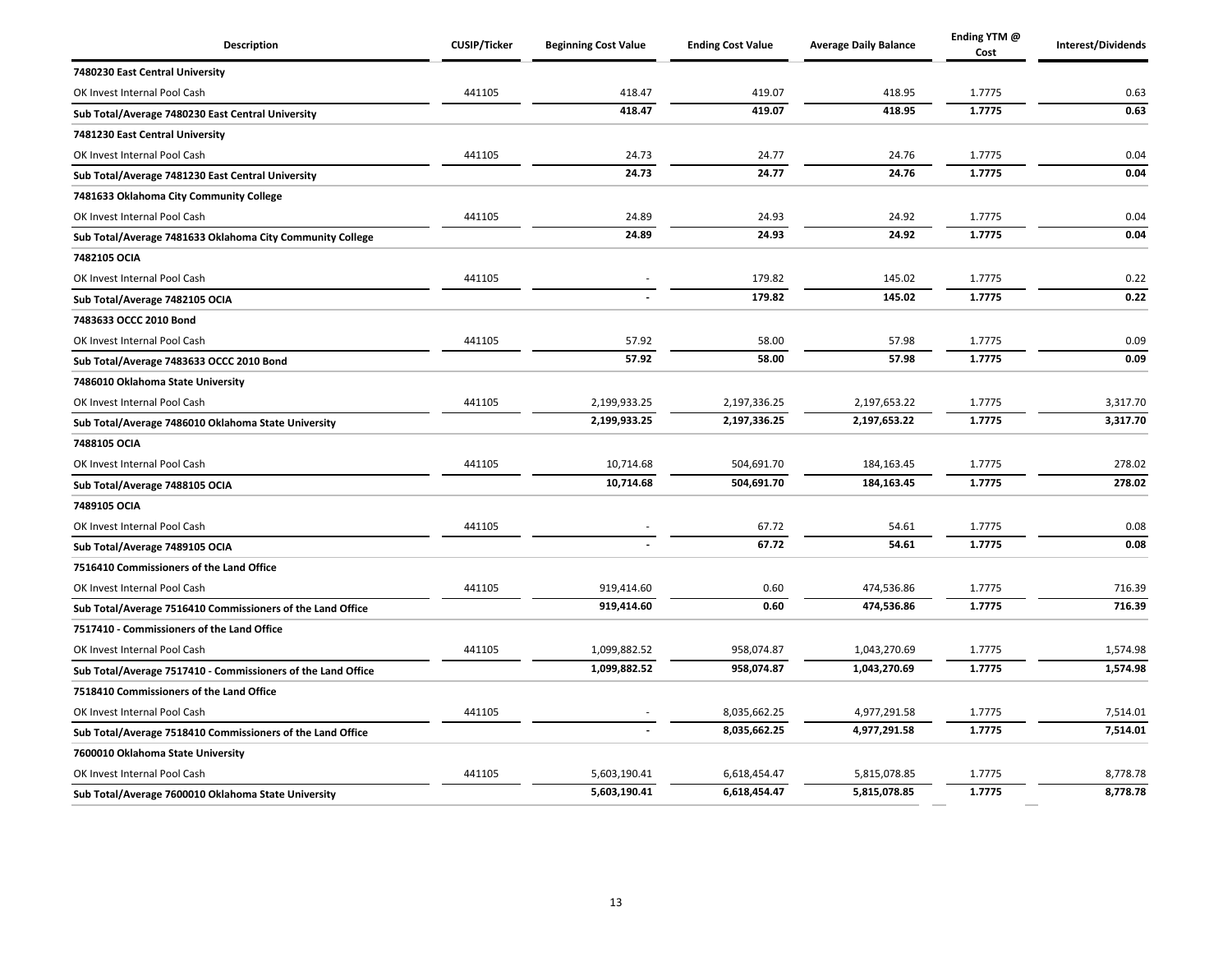| <b>Description</b>                                           | <b>CUSIP/Ticker</b> | <b>Beginning Cost Value</b> | <b>Ending Cost Value</b> | <b>Average Daily Balance</b> | Ending YTM @<br>Cost | Interest/Dividends |
|--------------------------------------------------------------|---------------------|-----------------------------|--------------------------|------------------------------|----------------------|--------------------|
| 7480230 East Central University                              |                     |                             |                          |                              |                      |                    |
| OK Invest Internal Pool Cash                                 | 441105              | 418.47                      | 419.07                   | 418.95                       | 1.7775               | 0.63               |
| Sub Total/Average 7480230 East Central University            |                     | 418.47                      | 419.07                   | 418.95                       | 1.7775               | 0.63               |
| 7481230 East Central University                              |                     |                             |                          |                              |                      |                    |
| OK Invest Internal Pool Cash                                 | 441105              | 24.73                       | 24.77                    | 24.76                        | 1.7775               | 0.04               |
| Sub Total/Average 7481230 East Central University            |                     | 24.73                       | 24.77                    | 24.76                        | 1.7775               | 0.04               |
| 7481633 Oklahoma City Community College                      |                     |                             |                          |                              |                      |                    |
| OK Invest Internal Pool Cash                                 | 441105              | 24.89                       | 24.93                    | 24.92                        | 1.7775               | 0.04               |
| Sub Total/Average 7481633 Oklahoma City Community College    |                     | 24.89                       | 24.93                    | 24.92                        | 1.7775               | 0.04               |
| 7482105 OCIA                                                 |                     |                             |                          |                              |                      |                    |
| OK Invest Internal Pool Cash                                 | 441105              |                             | 179.82                   | 145.02                       | 1.7775               | 0.22               |
| Sub Total/Average 7482105 OCIA                               |                     |                             | 179.82                   | 145.02                       | 1.7775               | 0.22               |
| 7483633 OCCC 2010 Bond                                       |                     |                             |                          |                              |                      |                    |
| OK Invest Internal Pool Cash                                 | 441105              | 57.92                       | 58.00                    | 57.98                        | 1.7775               | 0.09               |
| Sub Total/Average 7483633 OCCC 2010 Bond                     |                     | 57.92                       | 58.00                    | 57.98                        | 1.7775               | 0.09               |
| 7486010 Oklahoma State University                            |                     |                             |                          |                              |                      |                    |
| OK Invest Internal Pool Cash                                 | 441105              | 2,199,933.25                | 2,197,336.25             | 2,197,653.22                 | 1.7775               | 3,317.70           |
| Sub Total/Average 7486010 Oklahoma State University          |                     | 2,199,933.25                | 2,197,336.25             | 2,197,653.22                 | 1.7775               | 3,317.70           |
| 7488105 OCIA                                                 |                     |                             |                          |                              |                      |                    |
| OK Invest Internal Pool Cash                                 | 441105              | 10,714.68                   | 504,691.70               | 184,163.45                   | 1.7775               | 278.02             |
| Sub Total/Average 7488105 OCIA                               |                     | 10,714.68                   | 504,691.70               | 184,163.45                   | 1.7775               | 278.02             |
| 7489105 OCIA                                                 |                     |                             |                          |                              |                      |                    |
| OK Invest Internal Pool Cash                                 | 441105              |                             | 67.72                    | 54.61                        | 1.7775               | 0.08               |
| Sub Total/Average 7489105 OCIA                               |                     |                             | 67.72                    | 54.61                        | 1.7775               | 0.08               |
| 7516410 Commissioners of the Land Office                     |                     |                             |                          |                              |                      |                    |
| OK Invest Internal Pool Cash                                 | 441105              | 919,414.60                  | 0.60                     | 474,536.86                   | 1.7775               | 716.39             |
| Sub Total/Average 7516410 Commissioners of the Land Office   |                     | 919,414.60                  | 0.60                     | 474,536.86                   | 1.7775               | 716.39             |
| 7517410 - Commissioners of the Land Office                   |                     |                             |                          |                              |                      |                    |
| OK Invest Internal Pool Cash                                 | 441105              | 1,099,882.52                | 958,074.87               | 1,043,270.69                 | 1.7775               | 1,574.98           |
| Sub Total/Average 7517410 - Commissioners of the Land Office |                     | 1,099,882.52                | 958,074.87               | 1,043,270.69                 | 1.7775               | 1,574.98           |
| 7518410 Commissioners of the Land Office                     |                     |                             |                          |                              |                      |                    |
| OK Invest Internal Pool Cash                                 | 441105              |                             | 8,035,662.25             | 4,977,291.58                 | 1.7775               | 7,514.01           |
| Sub Total/Average 7518410 Commissioners of the Land Office   |                     |                             | 8,035,662.25             | 4,977,291.58                 | 1.7775               | 7,514.01           |
| 7600010 Oklahoma State University                            |                     |                             |                          |                              |                      |                    |
| OK Invest Internal Pool Cash                                 | 441105              | 5,603,190.41                | 6,618,454.47             | 5,815,078.85                 | 1.7775               | 8,778.78           |
| Sub Total/Average 7600010 Oklahoma State University          |                     | 5,603,190.41                | 6,618,454.47             | 5,815,078.85                 | 1.7775               | 8,778.78           |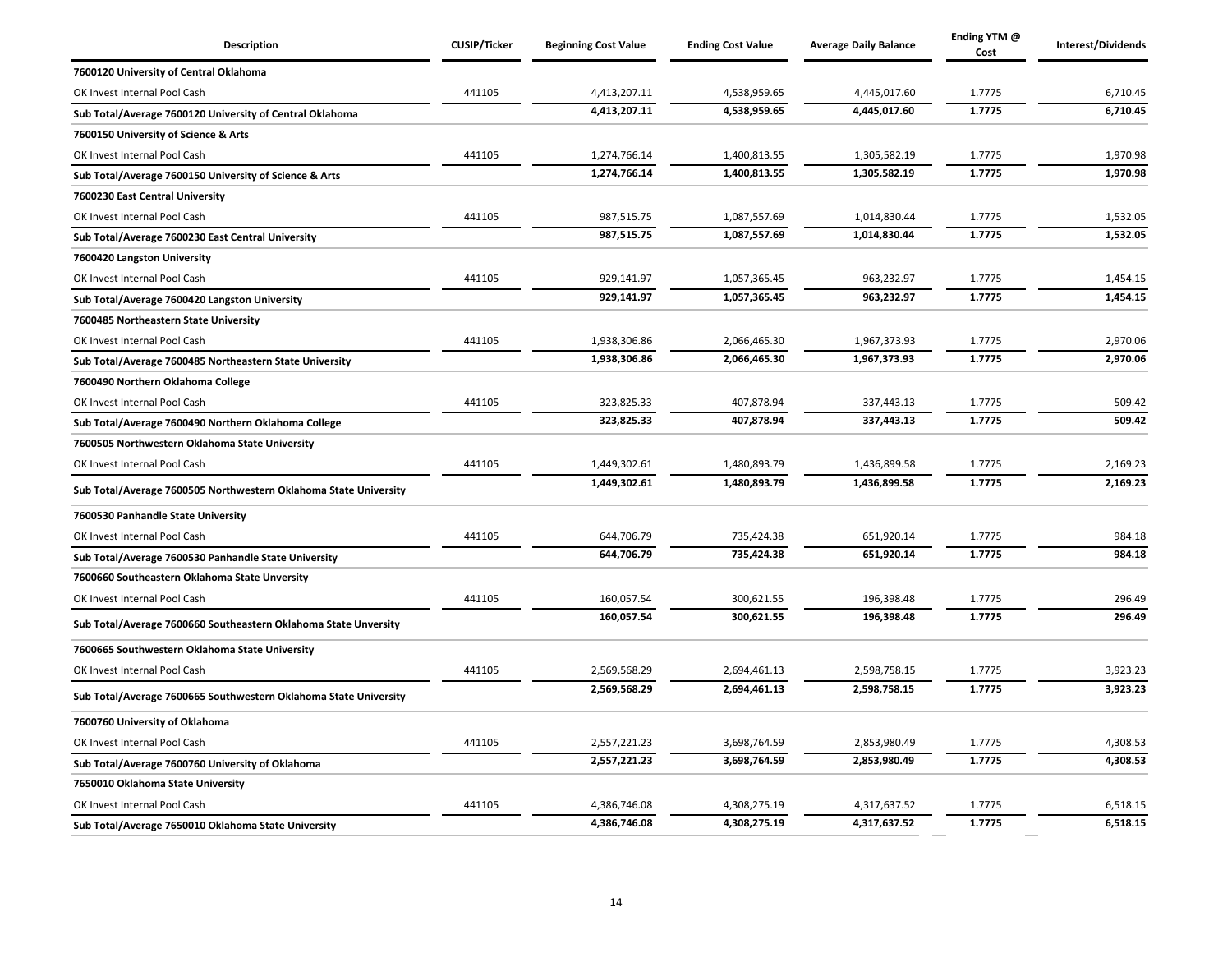| <b>Description</b>                                               | <b>CUSIP/Ticker</b> | <b>Beginning Cost Value</b> | <b>Ending Cost Value</b> | <b>Average Daily Balance</b> | Ending YTM @<br>Cost | Interest/Dividends |
|------------------------------------------------------------------|---------------------|-----------------------------|--------------------------|------------------------------|----------------------|--------------------|
| 7600120 University of Central Oklahoma                           |                     |                             |                          |                              |                      |                    |
| OK Invest Internal Pool Cash                                     | 441105              | 4,413,207.11                | 4,538,959.65             | 4,445,017.60                 | 1.7775               | 6,710.45           |
| Sub Total/Average 7600120 University of Central Oklahoma         |                     | 4,413,207.11                | 4,538,959.65             | 4,445,017.60                 | 1.7775               | 6,710.45           |
| 7600150 University of Science & Arts                             |                     |                             |                          |                              |                      |                    |
| OK Invest Internal Pool Cash                                     | 441105              | 1,274,766.14                | 1,400,813.55             | 1,305,582.19                 | 1.7775               | 1,970.98           |
| Sub Total/Average 7600150 University of Science & Arts           |                     | 1,274,766.14                | 1,400,813.55             | 1,305,582.19                 | 1.7775               | 1,970.98           |
| 7600230 East Central University                                  |                     |                             |                          |                              |                      |                    |
| OK Invest Internal Pool Cash                                     | 441105              | 987,515.75                  | 1,087,557.69             | 1,014,830.44                 | 1.7775               | 1,532.05           |
| Sub Total/Average 7600230 East Central University                |                     | 987,515.75                  | 1,087,557.69             | 1,014,830.44                 | 1.7775               | 1,532.05           |
| 7600420 Langston University                                      |                     |                             |                          |                              |                      |                    |
| OK Invest Internal Pool Cash                                     | 441105              | 929,141.97                  | 1,057,365.45             | 963,232.97                   | 1.7775               | 1,454.15           |
| Sub Total/Average 7600420 Langston University                    |                     | 929.141.97                  | 1.057.365.45             | 963.232.97                   | 1.7775               | 1,454.15           |
| 7600485 Northeastern State University                            |                     |                             |                          |                              |                      |                    |
| OK Invest Internal Pool Cash                                     | 441105              | 1,938,306.86                | 2,066,465.30             | 1,967,373.93                 | 1.7775               | 2,970.06           |
| Sub Total/Average 7600485 Northeastern State University          |                     | 1,938,306.86                | 2,066,465.30             | 1,967,373.93                 | 1.7775               | 2,970.06           |
| 7600490 Northern Oklahoma College                                |                     |                             |                          |                              |                      |                    |
| OK Invest Internal Pool Cash                                     | 441105              | 323,825.33                  | 407,878.94               | 337,443.13                   | 1.7775               | 509.42             |
| Sub Total/Average 7600490 Northern Oklahoma College              |                     | 323,825.33                  | 407,878.94               | 337,443.13                   | 1.7775               | 509.42             |
| 7600505 Northwestern Oklahoma State University                   |                     |                             |                          |                              |                      |                    |
| OK Invest Internal Pool Cash                                     | 441105              | 1,449,302.61                | 1,480,893.79             | 1,436,899.58                 | 1.7775               | 2,169.23           |
| Sub Total/Average 7600505 Northwestern Oklahoma State University |                     | 1,449,302.61                | 1,480,893.79             | 1,436,899.58                 | 1.7775               | 2,169.23           |
| 7600530 Panhandle State University                               |                     |                             |                          |                              |                      |                    |
| OK Invest Internal Pool Cash                                     | 441105              | 644,706.79                  | 735,424.38               | 651,920.14                   | 1.7775               | 984.18             |
| Sub Total/Average 7600530 Panhandle State University             |                     | 644.706.79                  | 735.424.38               | 651,920.14                   | 1.7775               | 984.18             |
| 7600660 Southeastern Oklahoma State Unversity                    |                     |                             |                          |                              |                      |                    |
| OK Invest Internal Pool Cash                                     | 441105              | 160,057.54                  | 300,621.55               | 196,398.48                   | 1.7775               | 296.49             |
| Sub Total/Average 7600660 Southeastern Oklahoma State Unversity  |                     | 160,057.54                  | 300,621.55               | 196,398.48                   | 1.7775               | 296.49             |
| 7600665 Southwestern Oklahoma State University                   |                     |                             |                          |                              |                      |                    |
| OK Invest Internal Pool Cash                                     | 441105              | 2,569,568.29                | 2,694,461.13             | 2,598,758.15                 | 1.7775               | 3,923.23           |
| Sub Total/Average 7600665 Southwestern Oklahoma State University |                     | 2,569,568.29                | 2,694,461.13             | 2,598,758.15                 | 1.7775               | 3,923.23           |
| 7600760 University of Oklahoma                                   |                     |                             |                          |                              |                      |                    |
| OK Invest Internal Pool Cash                                     | 441105              | 2,557,221.23                | 3,698,764.59             | 2,853,980.49                 | 1.7775               | 4,308.53           |
| Sub Total/Average 7600760 University of Oklahoma                 |                     | 2,557,221.23                | 3,698,764.59             | 2,853,980.49                 | 1.7775               | 4,308.53           |
| 7650010 Oklahoma State University                                |                     |                             |                          |                              |                      |                    |
| OK Invest Internal Pool Cash                                     | 441105              | 4,386,746.08                | 4,308,275.19             | 4,317,637.52                 | 1.7775               | 6,518.15           |
| Sub Total/Average 7650010 Oklahoma State University              |                     | 4,386,746.08                | 4,308,275.19             | 4,317,637.52                 | 1.7775               | 6,518.15           |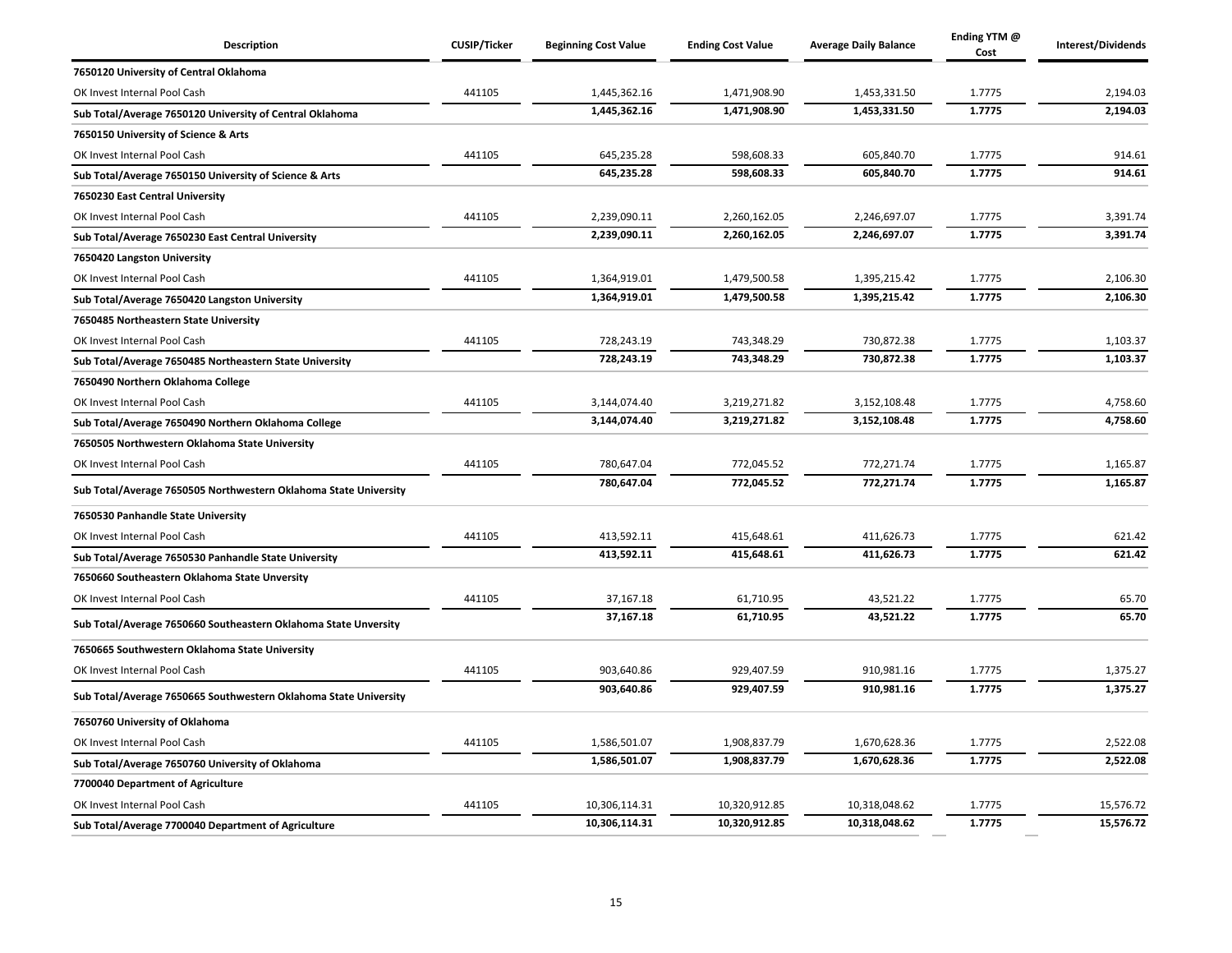| <b>Description</b>                                               | <b>CUSIP/Ticker</b> | <b>Beginning Cost Value</b> | <b>Ending Cost Value</b> | <b>Average Daily Balance</b> | Ending YTM @<br>Cost | Interest/Dividends |
|------------------------------------------------------------------|---------------------|-----------------------------|--------------------------|------------------------------|----------------------|--------------------|
| 7650120 University of Central Oklahoma                           |                     |                             |                          |                              |                      |                    |
| OK Invest Internal Pool Cash                                     | 441105              | 1,445,362.16                | 1,471,908.90             | 1,453,331.50                 | 1.7775               | 2,194.03           |
| Sub Total/Average 7650120 University of Central Oklahoma         |                     | 1,445,362.16                | 1,471,908.90             | 1,453,331.50                 | 1.7775               | 2,194.03           |
| 7650150 University of Science & Arts                             |                     |                             |                          |                              |                      |                    |
| OK Invest Internal Pool Cash                                     | 441105              | 645,235.28                  | 598,608.33               | 605,840.70                   | 1.7775               | 914.61             |
| Sub Total/Average 7650150 University of Science & Arts           |                     | 645,235.28                  | 598,608.33               | 605,840.70                   | 1.7775               | 914.61             |
| 7650230 East Central University                                  |                     |                             |                          |                              |                      |                    |
| OK Invest Internal Pool Cash                                     | 441105              | 2,239,090.11                | 2,260,162.05             | 2,246,697.07                 | 1.7775               | 3,391.74           |
| Sub Total/Average 7650230 East Central University                |                     | 2,239,090.11                | 2,260,162.05             | 2,246,697.07                 | 1.7775               | 3,391.74           |
| 7650420 Langston University                                      |                     |                             |                          |                              |                      |                    |
| OK Invest Internal Pool Cash                                     | 441105              | 1,364,919.01                | 1,479,500.58             | 1,395,215.42                 | 1.7775               | 2,106.30           |
| Sub Total/Average 7650420 Langston University                    |                     | 1,364,919.01                | 1,479,500.58             | 1,395,215.42                 | 1.7775               | 2,106.30           |
| 7650485 Northeastern State University                            |                     |                             |                          |                              |                      |                    |
| OK Invest Internal Pool Cash                                     | 441105              | 728,243.19                  | 743,348.29               | 730,872.38                   | 1.7775               | 1,103.37           |
| Sub Total/Average 7650485 Northeastern State University          |                     | 728,243.19                  | 743,348.29               | 730,872.38                   | 1.7775               | 1,103.37           |
| 7650490 Northern Oklahoma College                                |                     |                             |                          |                              |                      |                    |
| OK Invest Internal Pool Cash                                     | 441105              | 3,144,074.40                | 3,219,271.82             | 3,152,108.48                 | 1.7775               | 4,758.60           |
| Sub Total/Average 7650490 Northern Oklahoma College              |                     | 3,144,074.40                | 3,219,271.82             | 3,152,108.48                 | 1.7775               | 4,758.60           |
| 7650505 Northwestern Oklahoma State University                   |                     |                             |                          |                              |                      |                    |
| OK Invest Internal Pool Cash                                     | 441105              | 780,647.04                  | 772,045.52               | 772,271.74                   | 1.7775               | 1,165.87           |
| Sub Total/Average 7650505 Northwestern Oklahoma State University |                     | 780,647.04                  | 772,045.52               | 772,271.74                   | 1.7775               | 1,165.87           |
| 7650530 Panhandle State University                               |                     |                             |                          |                              |                      |                    |
| OK Invest Internal Pool Cash                                     | 441105              | 413,592.11                  | 415,648.61               | 411,626.73                   | 1.7775               | 621.42             |
| Sub Total/Average 7650530 Panhandle State University             |                     | 413,592.11                  | 415,648.61               | 411,626.73                   | 1.7775               | 621.42             |
| 7650660 Southeastern Oklahoma State Unversity                    |                     |                             |                          |                              |                      |                    |
| OK Invest Internal Pool Cash                                     | 441105              | 37,167.18                   | 61,710.95                | 43,521.22                    | 1.7775               | 65.70              |
| Sub Total/Average 7650660 Southeastern Oklahoma State Unversity  |                     | 37,167.18                   | 61,710.95                | 43,521.22                    | 1.7775               | 65.70              |
| 7650665 Southwestern Oklahoma State University                   |                     |                             |                          |                              |                      |                    |
| OK Invest Internal Pool Cash                                     | 441105              | 903,640.86                  | 929,407.59               | 910,981.16                   | 1.7775               | 1,375.27           |
| Sub Total/Average 7650665 Southwestern Oklahoma State University |                     | 903,640.86                  | 929,407.59               | 910,981.16                   | 1.7775               | 1,375.27           |
| 7650760 University of Oklahoma                                   |                     |                             |                          |                              |                      |                    |
| OK Invest Internal Pool Cash                                     | 441105              | 1,586,501.07                | 1,908,837.79             | 1,670,628.36                 | 1.7775               | 2,522.08           |
| Sub Total/Average 7650760 University of Oklahoma                 |                     | 1,586,501.07                | 1,908,837.79             | 1,670,628.36                 | 1.7775               | 2,522.08           |
| 7700040 Department of Agriculture                                |                     |                             |                          |                              |                      |                    |
| OK Invest Internal Pool Cash                                     | 441105              | 10,306,114.31               | 10,320,912.85            | 10,318,048.62                | 1.7775               | 15,576.72          |
| Sub Total/Average 7700040 Department of Agriculture              |                     | 10,306,114.31               | 10,320,912.85            | 10,318,048.62                | 1.7775               | 15,576.72          |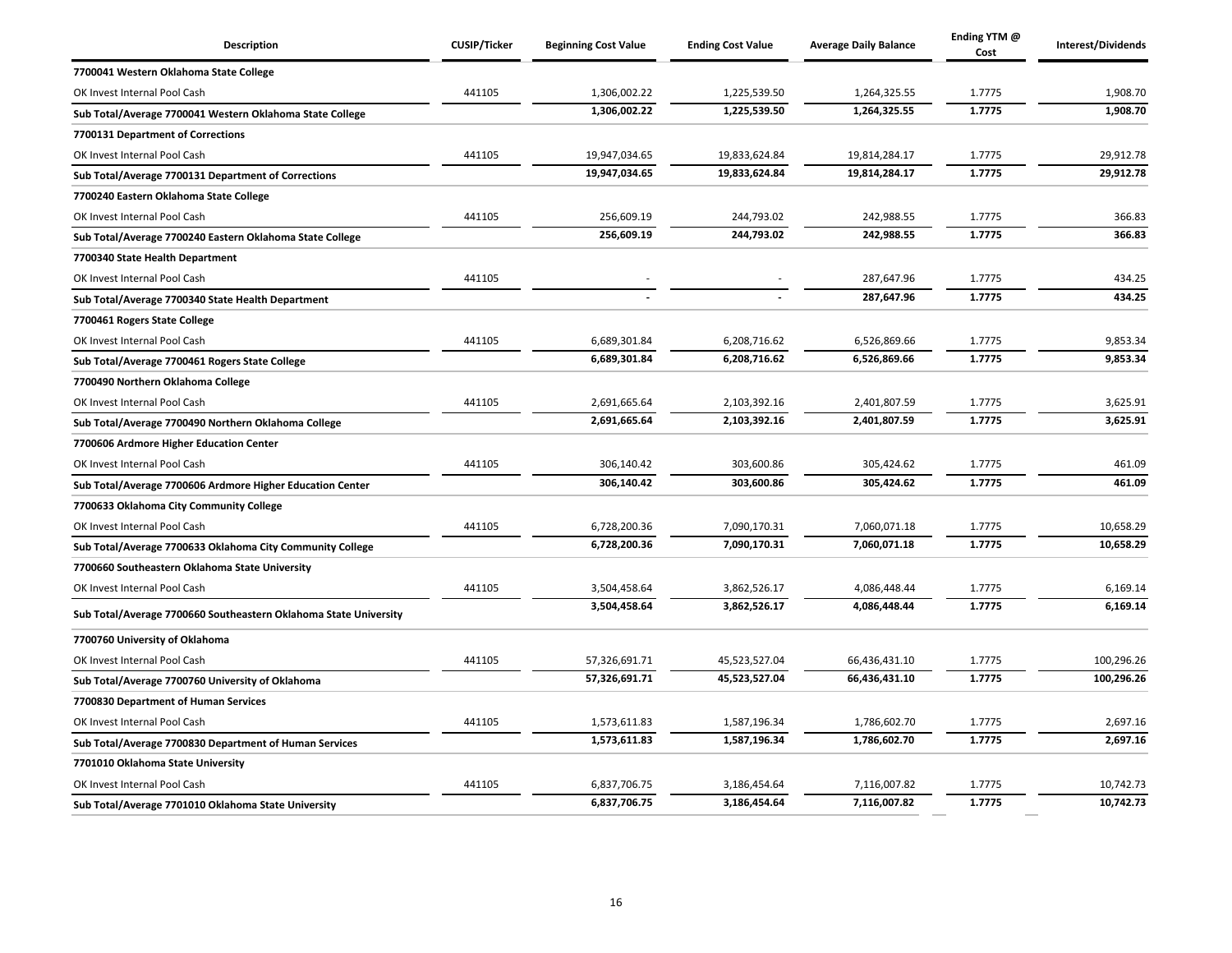| <b>Description</b>                                               | <b>CUSIP/Ticker</b> | <b>Beginning Cost Value</b> | <b>Ending Cost Value</b> | <b>Average Daily Balance</b> | Ending YTM @<br>Cost | Interest/Dividends |
|------------------------------------------------------------------|---------------------|-----------------------------|--------------------------|------------------------------|----------------------|--------------------|
| 7700041 Western Oklahoma State College                           |                     |                             |                          |                              |                      |                    |
| OK Invest Internal Pool Cash                                     | 441105              | 1,306,002.22                | 1,225,539.50             | 1,264,325.55                 | 1.7775               | 1,908.70           |
| Sub Total/Average 7700041 Western Oklahoma State College         |                     | 1,306,002.22                | 1,225,539.50             | 1,264,325.55                 | 1.7775               | 1,908.70           |
| 7700131 Department of Corrections                                |                     |                             |                          |                              |                      |                    |
| OK Invest Internal Pool Cash                                     | 441105              | 19,947,034.65               | 19,833,624.84            | 19,814,284.17                | 1.7775               | 29,912.78          |
| Sub Total/Average 7700131 Department of Corrections              |                     | 19,947,034.65               | 19,833,624.84            | 19,814,284.17                | 1.7775               | 29,912.78          |
| 7700240 Eastern Oklahoma State College                           |                     |                             |                          |                              |                      |                    |
| OK Invest Internal Pool Cash                                     | 441105              | 256,609.19                  | 244,793.02               | 242,988.55                   | 1.7775               | 366.83             |
| Sub Total/Average 7700240 Eastern Oklahoma State College         |                     | 256,609.19                  | 244,793.02               | 242,988.55                   | 1.7775               | 366.83             |
| 7700340 State Health Department                                  |                     |                             |                          |                              |                      |                    |
| OK Invest Internal Pool Cash                                     | 441105              |                             |                          | 287,647.96                   | 1.7775               | 434.25             |
| Sub Total/Average 7700340 State Health Department                |                     |                             |                          | 287,647.96                   | 1.7775               | 434.25             |
| 7700461 Rogers State College                                     |                     |                             |                          |                              |                      |                    |
| OK Invest Internal Pool Cash                                     | 441105              | 6,689,301.84                | 6,208,716.62             | 6,526,869.66                 | 1.7775               | 9,853.34           |
| Sub Total/Average 7700461 Rogers State College                   |                     | 6,689,301.84                | 6,208,716.62             | 6,526,869.66                 | 1.7775               | 9,853.34           |
| 7700490 Northern Oklahoma College                                |                     |                             |                          |                              |                      |                    |
| OK Invest Internal Pool Cash                                     | 441105              | 2,691,665.64                | 2,103,392.16             | 2,401,807.59                 | 1.7775               | 3,625.91           |
| Sub Total/Average 7700490 Northern Oklahoma College              |                     | 2,691,665.64                | 2,103,392.16             | 2,401,807.59                 | 1.7775               | 3,625.91           |
| 7700606 Ardmore Higher Education Center                          |                     |                             |                          |                              |                      |                    |
| OK Invest Internal Pool Cash                                     | 441105              | 306,140.42                  | 303,600.86               | 305,424.62                   | 1.7775               | 461.09             |
| Sub Total/Average 7700606 Ardmore Higher Education Center        |                     | 306,140.42                  | 303,600.86               | 305,424.62                   | 1.7775               | 461.09             |
| 7700633 Oklahoma City Community College                          |                     |                             |                          |                              |                      |                    |
| OK Invest Internal Pool Cash                                     | 441105              | 6,728,200.36                | 7,090,170.31             | 7,060,071.18                 | 1.7775               | 10,658.29          |
| Sub Total/Average 7700633 Oklahoma City Community College        |                     | 6,728,200.36                | 7,090,170.31             | 7,060,071.18                 | 1.7775               | 10,658.29          |
| 7700660 Southeastern Oklahoma State University                   |                     |                             |                          |                              |                      |                    |
| OK Invest Internal Pool Cash                                     | 441105              | 3,504,458.64                | 3,862,526.17             | 4,086,448.44                 | 1.7775               | 6,169.14           |
| Sub Total/Average 7700660 Southeastern Oklahoma State University |                     | 3,504,458.64                | 3,862,526.17             | 4,086,448.44                 | 1.7775               | 6,169.14           |
| 7700760 University of Oklahoma                                   |                     |                             |                          |                              |                      |                    |
| OK Invest Internal Pool Cash                                     | 441105              | 57,326,691.71               | 45,523,527.04            | 66,436,431.10                | 1.7775               | 100,296.26         |
| Sub Total/Average 7700760 University of Oklahoma                 |                     | 57,326,691.71               | 45,523,527.04            | 66,436,431.10                | 1.7775               | 100,296.26         |
| 7700830 Department of Human Services                             |                     |                             |                          |                              |                      |                    |
| OK Invest Internal Pool Cash                                     | 441105              | 1,573,611.83                | 1,587,196.34             | 1,786,602.70                 | 1.7775               | 2,697.16           |
| Sub Total/Average 7700830 Department of Human Services           |                     | 1,573,611.83                | 1,587,196.34             | 1,786,602.70                 | 1.7775               | 2,697.16           |
| 7701010 Oklahoma State University                                |                     |                             |                          |                              |                      |                    |
| OK Invest Internal Pool Cash                                     | 441105              | 6,837,706.75                | 3,186,454.64             | 7,116,007.82                 | 1.7775               | 10,742.73          |
| Sub Total/Average 7701010 Oklahoma State University              |                     | 6,837,706.75                | 3,186,454.64             | 7,116,007.82                 | 1.7775               | 10,742.73          |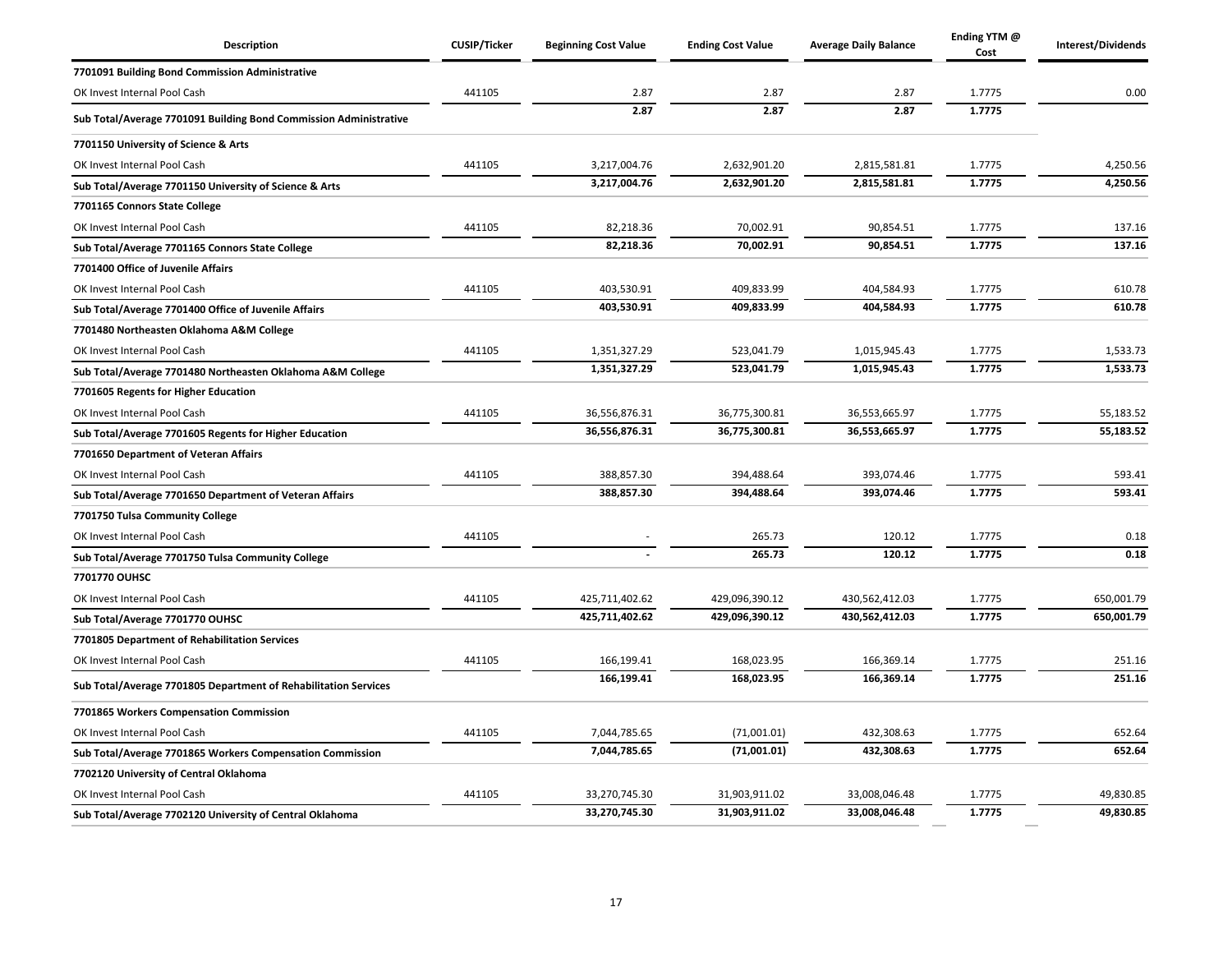| <b>Description</b>                                                | <b>CUSIP/Ticker</b> | <b>Beginning Cost Value</b> | <b>Ending Cost Value</b> | <b>Average Daily Balance</b> | Ending YTM @<br>Cost | Interest/Dividends |
|-------------------------------------------------------------------|---------------------|-----------------------------|--------------------------|------------------------------|----------------------|--------------------|
| 7701091 Building Bond Commission Administrative                   |                     |                             |                          |                              |                      |                    |
| OK Invest Internal Pool Cash                                      | 441105              | 2.87                        | 2.87                     | 2.87                         | 1.7775               | 0.00               |
| Sub Total/Average 7701091 Building Bond Commission Administrative |                     | 2.87                        | 2.87                     | 2.87                         | 1.7775               |                    |
| 7701150 University of Science & Arts                              |                     |                             |                          |                              |                      |                    |
| OK Invest Internal Pool Cash                                      | 441105              | 3,217,004.76                | 2,632,901.20             | 2,815,581.81                 | 1.7775               | 4,250.56           |
| Sub Total/Average 7701150 University of Science & Arts            |                     | 3,217,004.76                | 2,632,901.20             | 2,815,581.81                 | 1.7775               | 4,250.56           |
| 7701165 Connors State College                                     |                     |                             |                          |                              |                      |                    |
| OK Invest Internal Pool Cash                                      | 441105              | 82,218.36                   | 70,002.91                | 90,854.51                    | 1.7775               | 137.16             |
| Sub Total/Average 7701165 Connors State College                   |                     | 82,218.36                   | 70,002.91                | 90,854.51                    | 1.7775               | 137.16             |
| 7701400 Office of Juvenile Affairs                                |                     |                             |                          |                              |                      |                    |
| OK Invest Internal Pool Cash                                      | 441105              | 403,530.91                  | 409,833.99               | 404,584.93                   | 1.7775               | 610.78             |
| Sub Total/Average 7701400 Office of Juvenile Affairs              |                     | 403,530.91                  | 409,833.99               | 404,584.93                   | 1.7775               | 610.78             |
| 7701480 Northeasten Oklahoma A&M College                          |                     |                             |                          |                              |                      |                    |
| OK Invest Internal Pool Cash                                      | 441105              | 1,351,327.29                | 523,041.79               | 1,015,945.43                 | 1.7775               | 1,533.73           |
| Sub Total/Average 7701480 Northeasten Oklahoma A&M College        |                     | 1,351,327.29                | 523,041.79               | 1,015,945.43                 | 1.7775               | 1,533.73           |
| 7701605 Regents for Higher Education                              |                     |                             |                          |                              |                      |                    |
| OK Invest Internal Pool Cash                                      | 441105              | 36,556,876.31               | 36,775,300.81            | 36,553,665.97                | 1.7775               | 55,183.52          |
| Sub Total/Average 7701605 Regents for Higher Education            |                     | 36,556,876.31               | 36,775,300.81            | 36,553,665.97                | 1.7775               | 55,183.52          |
| 7701650 Department of Veteran Affairs                             |                     |                             |                          |                              |                      |                    |
| OK Invest Internal Pool Cash                                      | 441105              | 388,857.30                  | 394,488.64               | 393,074.46                   | 1.7775               | 593.41             |
| Sub Total/Average 7701650 Department of Veteran Affairs           |                     | 388,857.30                  | 394,488.64               | 393,074.46                   | 1.7775               | 593.41             |
| 7701750 Tulsa Community College                                   |                     |                             |                          |                              |                      |                    |
| OK Invest Internal Pool Cash                                      | 441105              |                             | 265.73                   | 120.12                       | 1.7775               | 0.18               |
| Sub Total/Average 7701750 Tulsa Community College                 |                     |                             | 265.73                   | 120.12                       | 1.7775               | 0.18               |
| 7701770 OUHSC                                                     |                     |                             |                          |                              |                      |                    |
| OK Invest Internal Pool Cash                                      | 441105              | 425,711,402.62              | 429,096,390.12           | 430,562,412.03               | 1.7775               | 650,001.79         |
| Sub Total/Average 7701770 OUHSC                                   |                     | 425,711,402.62              | 429,096,390.12           | 430,562,412.03               | 1.7775               | 650,001.79         |
| 7701805 Department of Rehabilitation Services                     |                     |                             |                          |                              |                      |                    |
| OK Invest Internal Pool Cash                                      | 441105              | 166,199.41                  | 168,023.95               | 166,369.14                   | 1.7775               | 251.16             |
| Sub Total/Average 7701805 Department of Rehabilitation Services   |                     | 166,199.41                  | 168,023.95               | 166,369.14                   | 1.7775               | 251.16             |
| 7701865 Workers Compensation Commission                           |                     |                             |                          |                              |                      |                    |
| OK Invest Internal Pool Cash                                      | 441105              | 7,044,785.65                | (71,001.01)              | 432,308.63                   | 1.7775               | 652.64             |
| Sub Total/Average 7701865 Workers Compensation Commission         |                     | 7,044,785.65                | (71,001.01)              | 432,308.63                   | 1.7775               | 652.64             |
| 7702120 University of Central Oklahoma                            |                     |                             |                          |                              |                      |                    |
| OK Invest Internal Pool Cash                                      | 441105              | 33,270,745.30               | 31,903,911.02            | 33,008,046.48                | 1.7775               | 49,830.85          |
| Sub Total/Average 7702120 University of Central Oklahoma          |                     | 33,270,745.30               | 31,903,911.02            | 33,008,046.48                | 1.7775               | 49,830.85          |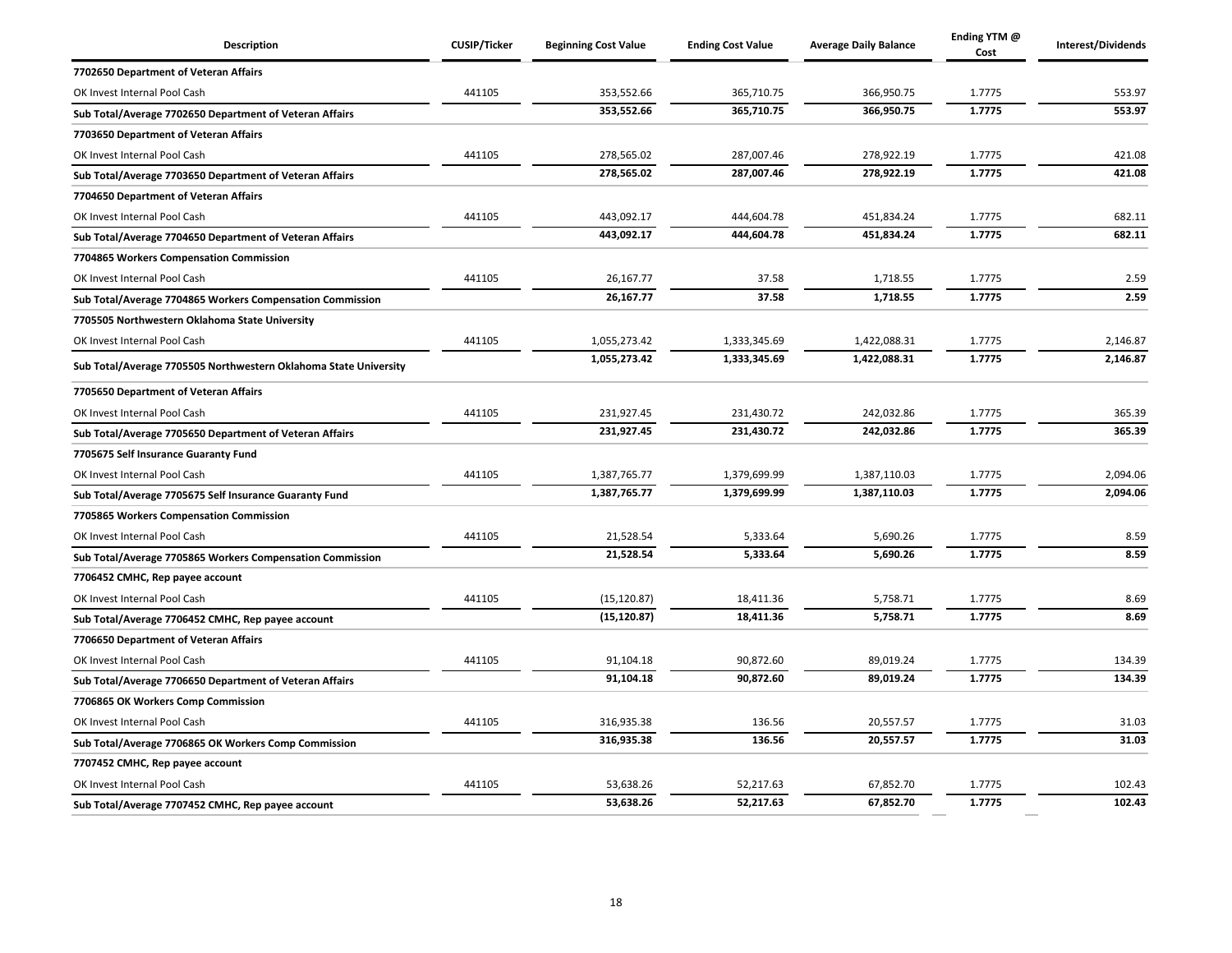| Description                                                      | <b>CUSIP/Ticker</b> | <b>Beginning Cost Value</b> | <b>Ending Cost Value</b> | <b>Average Daily Balance</b> | Ending YTM @<br>Cost | Interest/Dividends |
|------------------------------------------------------------------|---------------------|-----------------------------|--------------------------|------------------------------|----------------------|--------------------|
| 7702650 Department of Veteran Affairs                            |                     |                             |                          |                              |                      |                    |
| OK Invest Internal Pool Cash                                     | 441105              | 353,552.66                  | 365,710.75               | 366,950.75                   | 1.7775               | 553.97             |
| Sub Total/Average 7702650 Department of Veteran Affairs          |                     | 353,552.66                  | 365,710.75               | 366,950.75                   | 1.7775               | 553.97             |
| 7703650 Department of Veteran Affairs                            |                     |                             |                          |                              |                      |                    |
| OK Invest Internal Pool Cash                                     | 441105              | 278,565.02                  | 287,007.46               | 278,922.19                   | 1.7775               | 421.08             |
| Sub Total/Average 7703650 Department of Veteran Affairs          |                     | 278,565.02                  | 287,007.46               | 278,922.19                   | 1.7775               | 421.08             |
| 7704650 Department of Veteran Affairs                            |                     |                             |                          |                              |                      |                    |
| OK Invest Internal Pool Cash                                     | 441105              | 443,092.17                  | 444,604.78               | 451,834.24                   | 1.7775               | 682.11             |
| Sub Total/Average 7704650 Department of Veteran Affairs          |                     | 443,092.17                  | 444,604.78               | 451,834.24                   | 1.7775               | 682.11             |
| 7704865 Workers Compensation Commission                          |                     |                             |                          |                              |                      |                    |
| OK Invest Internal Pool Cash                                     | 441105              | 26,167.77                   | 37.58                    | 1,718.55                     | 1.7775               | 2.59               |
| Sub Total/Average 7704865 Workers Compensation Commission        |                     | 26,167.77                   | 37.58                    | 1,718.55                     | 1.7775               | 2.59               |
| 7705505 Northwestern Oklahoma State University                   |                     |                             |                          |                              |                      |                    |
| OK Invest Internal Pool Cash                                     | 441105              | 1,055,273.42                | 1,333,345.69             | 1,422,088.31                 | 1.7775               | 2,146.87           |
| Sub Total/Average 7705505 Northwestern Oklahoma State University |                     | 1,055,273.42                | 1,333,345.69             | 1,422,088.31                 | 1.7775               | 2,146.87           |
| 7705650 Department of Veteran Affairs                            |                     |                             |                          |                              |                      |                    |
| OK Invest Internal Pool Cash                                     | 441105              | 231,927.45                  | 231,430.72               | 242,032.86                   | 1.7775               | 365.39             |
| Sub Total/Average 7705650 Department of Veteran Affairs          |                     | 231,927.45                  | 231,430.72               | 242,032.86                   | 1.7775               | 365.39             |
| 7705675 Self Insurance Guaranty Fund                             |                     |                             |                          |                              |                      |                    |
| OK Invest Internal Pool Cash                                     | 441105              | 1,387,765.77                | 1,379,699.99             | 1,387,110.03                 | 1.7775               | 2,094.06           |
| Sub Total/Average 7705675 Self Insurance Guaranty Fund           |                     | 1,387,765.77                | 1,379,699.99             | 1,387,110.03                 | 1.7775               | 2,094.06           |
| 7705865 Workers Compensation Commission                          |                     |                             |                          |                              |                      |                    |
| OK Invest Internal Pool Cash                                     | 441105              | 21,528.54                   | 5,333.64                 | 5,690.26                     | 1.7775               | 8.59               |
| Sub Total/Average 7705865 Workers Compensation Commission        |                     | 21,528.54                   | 5,333.64                 | 5,690.26                     | 1.7775               | 8.59               |
| 7706452 CMHC, Rep payee account                                  |                     |                             |                          |                              |                      |                    |
| OK Invest Internal Pool Cash                                     | 441105              | (15, 120.87)                | 18,411.36                | 5,758.71                     | 1.7775               | 8.69               |
| Sub Total/Average 7706452 CMHC, Rep payee account                |                     | (15, 120.87)                | 18,411.36                | 5,758.71                     | 1.7775               | 8.69               |
| 7706650 Department of Veteran Affairs                            |                     |                             |                          |                              |                      |                    |
| OK Invest Internal Pool Cash                                     | 441105              | 91,104.18                   | 90,872.60                | 89,019.24                    | 1.7775               | 134.39             |
| Sub Total/Average 7706650 Department of Veteran Affairs          |                     | 91,104.18                   | 90,872.60                | 89,019.24                    | 1.7775               | 134.39             |
| 7706865 OK Workers Comp Commission                               |                     |                             |                          |                              |                      |                    |
| OK Invest Internal Pool Cash                                     | 441105              | 316,935.38                  | 136.56                   | 20,557.57                    | 1.7775               | 31.03              |
| Sub Total/Average 7706865 OK Workers Comp Commission             |                     | 316,935.38                  | 136.56                   | 20,557.57                    | 1.7775               | 31.03              |
| 7707452 CMHC, Rep payee account                                  |                     |                             |                          |                              |                      |                    |
| OK Invest Internal Pool Cash                                     | 441105              | 53,638.26                   | 52,217.63                | 67,852.70                    | 1.7775               | 102.43             |
| Sub Total/Average 7707452 CMHC, Rep payee account                |                     | 53,638.26                   | 52,217.63                | 67,852.70                    | 1.7775               | 102.43             |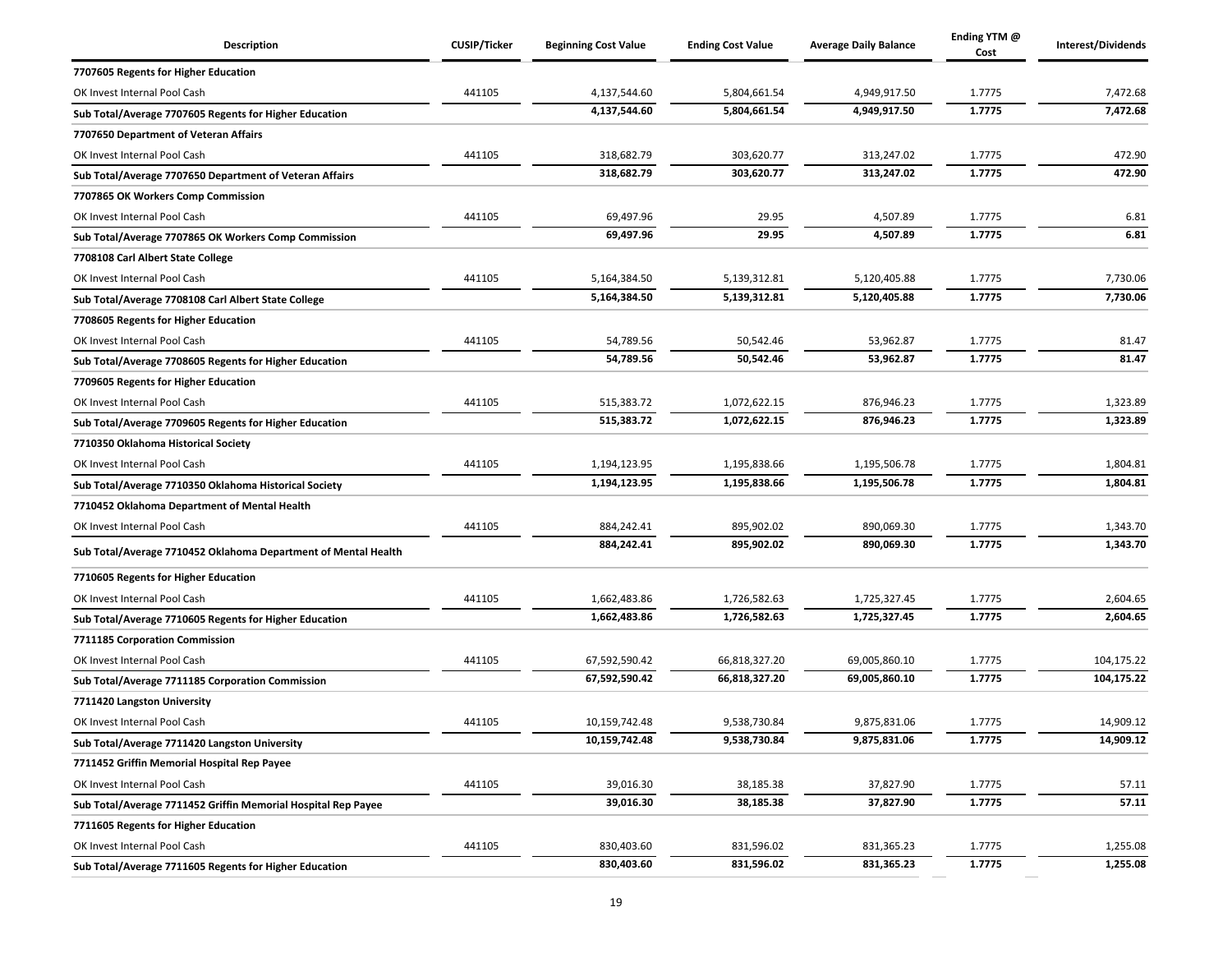| Description                                                    | <b>CUSIP/Ticker</b> | <b>Beginning Cost Value</b> | <b>Ending Cost Value</b> | <b>Average Daily Balance</b> | Ending YTM @<br>Cost | Interest/Dividends |
|----------------------------------------------------------------|---------------------|-----------------------------|--------------------------|------------------------------|----------------------|--------------------|
| 7707605 Regents for Higher Education                           |                     |                             |                          |                              |                      |                    |
| OK Invest Internal Pool Cash                                   | 441105              | 4,137,544.60                | 5,804,661.54             | 4,949,917.50                 | 1.7775               | 7,472.68           |
| Sub Total/Average 7707605 Regents for Higher Education         |                     | 4,137,544.60                | 5,804,661.54             | 4,949,917.50                 | 1.7775               | 7,472.68           |
| 7707650 Department of Veteran Affairs                          |                     |                             |                          |                              |                      |                    |
| OK Invest Internal Pool Cash                                   | 441105              | 318,682.79                  | 303,620.77               | 313,247.02                   | 1.7775               | 472.90             |
| Sub Total/Average 7707650 Department of Veteran Affairs        |                     | 318,682.79                  | 303,620.77               | 313,247.02                   | 1.7775               | 472.90             |
| 7707865 OK Workers Comp Commission                             |                     |                             |                          |                              |                      |                    |
| OK Invest Internal Pool Cash                                   | 441105              | 69,497.96                   | 29.95                    | 4,507.89                     | 1.7775               | 6.81               |
| Sub Total/Average 7707865 OK Workers Comp Commission           |                     | 69,497.96                   | 29.95                    | 4,507.89                     | 1.7775               | 6.81               |
| 7708108 Carl Albert State College                              |                     |                             |                          |                              |                      |                    |
| OK Invest Internal Pool Cash                                   | 441105              | 5,164,384.50                | 5,139,312.81             | 5,120,405.88                 | 1.7775               | 7,730.06           |
| Sub Total/Average 7708108 Carl Albert State College            |                     | 5,164,384.50                | 5,139,312.81             | 5,120,405.88                 | 1.7775               | 7,730.06           |
| 7708605 Regents for Higher Education                           |                     |                             |                          |                              |                      |                    |
| OK Invest Internal Pool Cash                                   | 441105              | 54,789.56                   | 50,542.46                | 53,962.87                    | 1.7775               | 81.47              |
| Sub Total/Average 7708605 Regents for Higher Education         |                     | 54.789.56                   | 50,542.46                | 53,962.87                    | 1.7775               | 81.47              |
| 7709605 Regents for Higher Education                           |                     |                             |                          |                              |                      |                    |
| OK Invest Internal Pool Cash                                   | 441105              | 515,383.72                  | 1,072,622.15             | 876,946.23                   | 1.7775               | 1,323.89           |
| Sub Total/Average 7709605 Regents for Higher Education         |                     | 515,383.72                  | 1,072,622.15             | 876,946.23                   | 1.7775               | 1,323.89           |
| 7710350 Oklahoma Historical Society                            |                     |                             |                          |                              |                      |                    |
| OK Invest Internal Pool Cash                                   | 441105              | 1,194,123.95                | 1,195,838.66             | 1,195,506.78                 | 1.7775               | 1,804.81           |
| Sub Total/Average 7710350 Oklahoma Historical Society          |                     | 1,194,123.95                | 1,195,838.66             | 1,195,506.78                 | 1.7775               | 1,804.81           |
| 7710452 Oklahoma Department of Mental Health                   |                     |                             |                          |                              |                      |                    |
| OK Invest Internal Pool Cash                                   | 441105              | 884,242.41                  | 895,902.02               | 890,069.30                   | 1.7775               | 1,343.70           |
| Sub Total/Average 7710452 Oklahoma Department of Mental Health |                     | 884,242.41                  | 895,902.02               | 890,069.30                   | 1.7775               | 1,343.70           |
| 7710605 Regents for Higher Education                           |                     |                             |                          |                              |                      |                    |
| OK Invest Internal Pool Cash                                   | 441105              | 1,662,483.86                | 1,726,582.63             | 1,725,327.45                 | 1.7775               | 2,604.65           |
| Sub Total/Average 7710605 Regents for Higher Education         |                     | 1,662,483.86                | 1,726,582.63             | 1,725,327.45                 | 1.7775               | 2,604.65           |
| 7711185 Corporation Commission                                 |                     |                             |                          |                              |                      |                    |
| OK Invest Internal Pool Cash                                   | 441105              | 67,592,590.42               | 66,818,327.20            | 69,005,860.10                | 1.7775               | 104,175.22         |
| Sub Total/Average 7711185 Corporation Commission               |                     | 67,592,590.42               | 66,818,327.20            | 69,005,860.10                | 1.7775               | 104,175.22         |
| 7711420 Langston University                                    |                     |                             |                          |                              |                      |                    |
| OK Invest Internal Pool Cash                                   | 441105              | 10,159,742.48               | 9,538,730.84             | 9,875,831.06                 | 1.7775               | 14,909.12          |
| Sub Total/Average 7711420 Langston University                  |                     | 10,159,742.48               | 9,538,730.84             | 9,875,831.06                 | 1.7775               | 14,909.12          |
| 7711452 Griffin Memorial Hospital Rep Payee                    |                     |                             |                          |                              |                      |                    |
| OK Invest Internal Pool Cash                                   | 441105              | 39,016.30                   | 38,185.38                | 37,827.90                    | 1.7775               | 57.11              |
| Sub Total/Average 7711452 Griffin Memorial Hospital Rep Payee  |                     | 39,016.30                   | 38,185.38                | 37,827.90                    | 1.7775               | 57.11              |
| 7711605 Regents for Higher Education                           |                     |                             |                          |                              |                      |                    |
| OK Invest Internal Pool Cash                                   | 441105              | 830,403.60                  | 831,596.02               | 831,365.23                   | 1.7775               | 1,255.08           |
| Sub Total/Average 7711605 Regents for Higher Education         |                     | 830,403.60                  | 831,596.02               | 831,365.23                   | 1.7775               | 1,255.08           |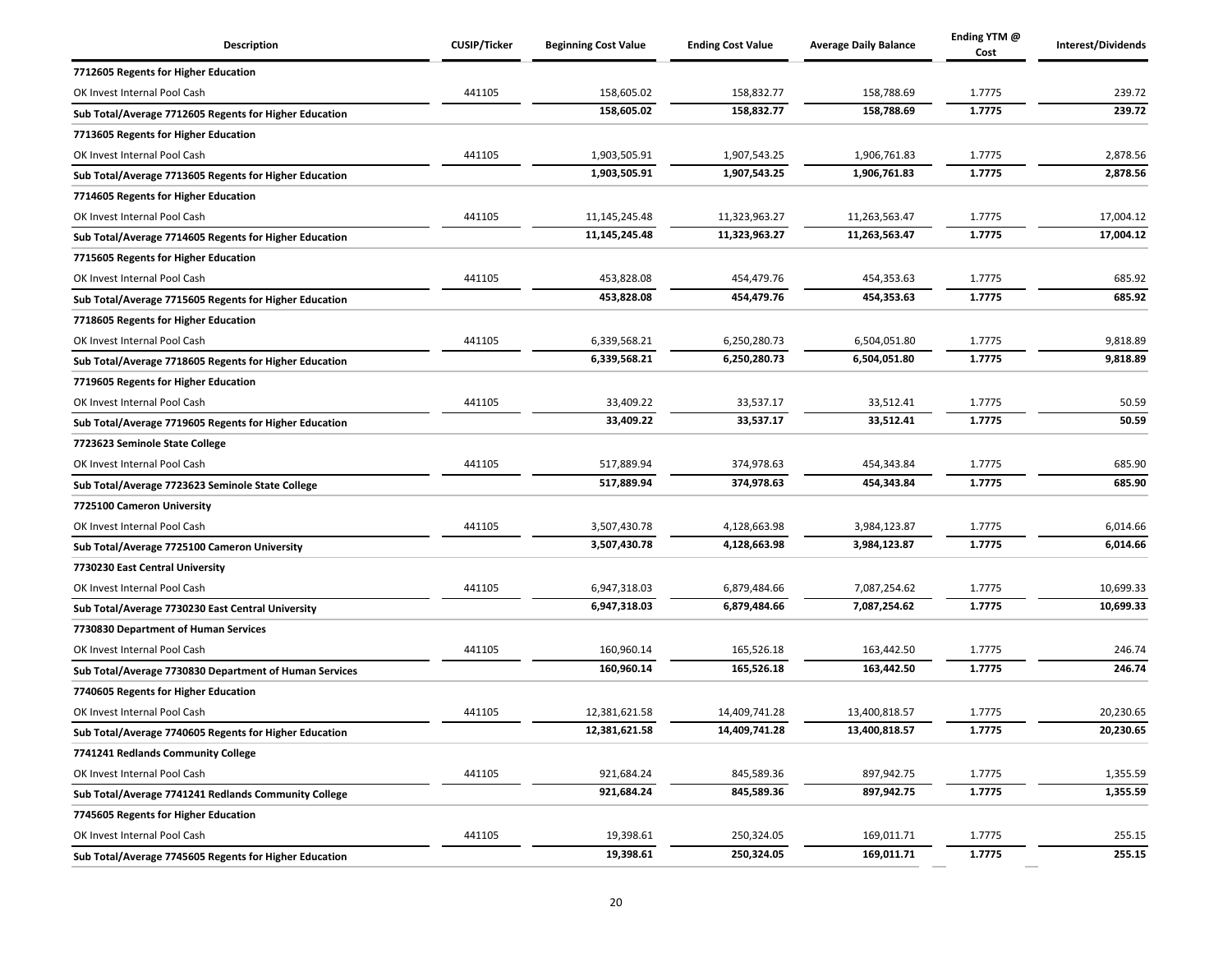| Description                                            | <b>CUSIP/Ticker</b> | <b>Beginning Cost Value</b> | <b>Ending Cost Value</b> | <b>Average Daily Balance</b> | Ending YTM @<br>Cost | Interest/Dividends |
|--------------------------------------------------------|---------------------|-----------------------------|--------------------------|------------------------------|----------------------|--------------------|
| 7712605 Regents for Higher Education                   |                     |                             |                          |                              |                      |                    |
| OK Invest Internal Pool Cash                           | 441105              | 158,605.02                  | 158,832.77               | 158,788.69                   | 1.7775               | 239.72             |
| Sub Total/Average 7712605 Regents for Higher Education |                     | 158,605.02                  | 158,832.77               | 158,788.69                   | 1.7775               | 239.72             |
| 7713605 Regents for Higher Education                   |                     |                             |                          |                              |                      |                    |
| OK Invest Internal Pool Cash                           | 441105              | 1,903,505.91                | 1,907,543.25             | 1,906,761.83                 | 1.7775               | 2,878.56           |
| Sub Total/Average 7713605 Regents for Higher Education |                     | 1,903,505.91                | 1,907,543.25             | 1,906,761.83                 | 1.7775               | 2,878.56           |
| 7714605 Regents for Higher Education                   |                     |                             |                          |                              |                      |                    |
| OK Invest Internal Pool Cash                           | 441105              | 11,145,245.48               | 11,323,963.27            | 11,263,563.47                | 1.7775               | 17,004.12          |
| Sub Total/Average 7714605 Regents for Higher Education |                     | 11,145,245.48               | 11,323,963.27            | 11,263,563.47                | 1.7775               | 17,004.12          |
| 7715605 Regents for Higher Education                   |                     |                             |                          |                              |                      |                    |
| OK Invest Internal Pool Cash                           | 441105              | 453,828.08                  | 454,479.76               | 454,353.63                   | 1.7775               | 685.92             |
| Sub Total/Average 7715605 Regents for Higher Education |                     | 453,828.08                  | 454,479.76               | 454,353.63                   | 1.7775               | 685.92             |
| 7718605 Regents for Higher Education                   |                     |                             |                          |                              |                      |                    |
| OK Invest Internal Pool Cash                           | 441105              | 6,339,568.21                | 6,250,280.73             | 6,504,051.80                 | 1.7775               | 9,818.89           |
| Sub Total/Average 7718605 Regents for Higher Education |                     | 6,339,568.21                | 6,250,280.73             | 6,504,051.80                 | 1.7775               | 9,818.89           |
| 7719605 Regents for Higher Education                   |                     |                             |                          |                              |                      |                    |
| OK Invest Internal Pool Cash                           | 441105              | 33,409.22                   | 33,537.17                | 33,512.41                    | 1.7775               | 50.59              |
| Sub Total/Average 7719605 Regents for Higher Education |                     | 33,409.22                   | 33,537.17                | 33,512.41                    | 1.7775               | 50.59              |
| 7723623 Seminole State College                         |                     |                             |                          |                              |                      |                    |
| OK Invest Internal Pool Cash                           | 441105              | 517,889.94                  | 374,978.63               | 454,343.84                   | 1.7775               | 685.90             |
| Sub Total/Average 7723623 Seminole State College       |                     | 517,889.94                  | 374,978.63               | 454,343.84                   | 1.7775               | 685.90             |
| 7725100 Cameron University                             |                     |                             |                          |                              |                      |                    |
| OK Invest Internal Pool Cash                           | 441105              | 3,507,430.78                | 4,128,663.98             | 3,984,123.87                 | 1.7775               | 6,014.66           |
| Sub Total/Average 7725100 Cameron University           |                     | 3,507,430.78                | 4,128,663.98             | 3,984,123.87                 | 1.7775               | 6,014.66           |
| 7730230 East Central University                        |                     |                             |                          |                              |                      |                    |
| OK Invest Internal Pool Cash                           | 441105              | 6,947,318.03                | 6,879,484.66             | 7,087,254.62                 | 1.7775               | 10,699.33          |
| Sub Total/Average 7730230 East Central University      |                     | 6,947,318.03                | 6,879,484.66             | 7,087,254.62                 | 1.7775               | 10,699.33          |
| 7730830 Department of Human Services                   |                     |                             |                          |                              |                      |                    |
| OK Invest Internal Pool Cash                           | 441105              | 160,960.14                  | 165,526.18               | 163,442.50                   | 1.7775               | 246.74             |
| Sub Total/Average 7730830 Department of Human Services |                     | 160,960.14                  | 165,526.18               | 163,442.50                   | 1.7775               | 246.74             |
| 7740605 Regents for Higher Education                   |                     |                             |                          |                              |                      |                    |
| OK Invest Internal Pool Cash                           | 441105              | 12,381,621.58               | 14,409,741.28            | 13,400,818.57                | 1.7775               | 20,230.65          |
| Sub Total/Average 7740605 Regents for Higher Education |                     | 12,381,621.58               | 14,409,741.28            | 13,400,818.57                | 1.7775               | 20,230.65          |
| 7741241 Redlands Community College                     |                     |                             |                          |                              |                      |                    |
| OK Invest Internal Pool Cash                           | 441105              | 921,684.24                  | 845,589.36               | 897,942.75                   | 1.7775               | 1,355.59           |
| Sub Total/Average 7741241 Redlands Community College   |                     | 921,684.24                  | 845,589.36               | 897,942.75                   | 1.7775               | 1,355.59           |
| 7745605 Regents for Higher Education                   |                     |                             |                          |                              |                      |                    |
| OK Invest Internal Pool Cash                           | 441105              | 19,398.61                   | 250,324.05               | 169,011.71                   | 1.7775               | 255.15             |
| Sub Total/Average 7745605 Regents for Higher Education |                     | 19,398.61                   | 250,324.05               | 169,011.71                   | 1.7775               | 255.15             |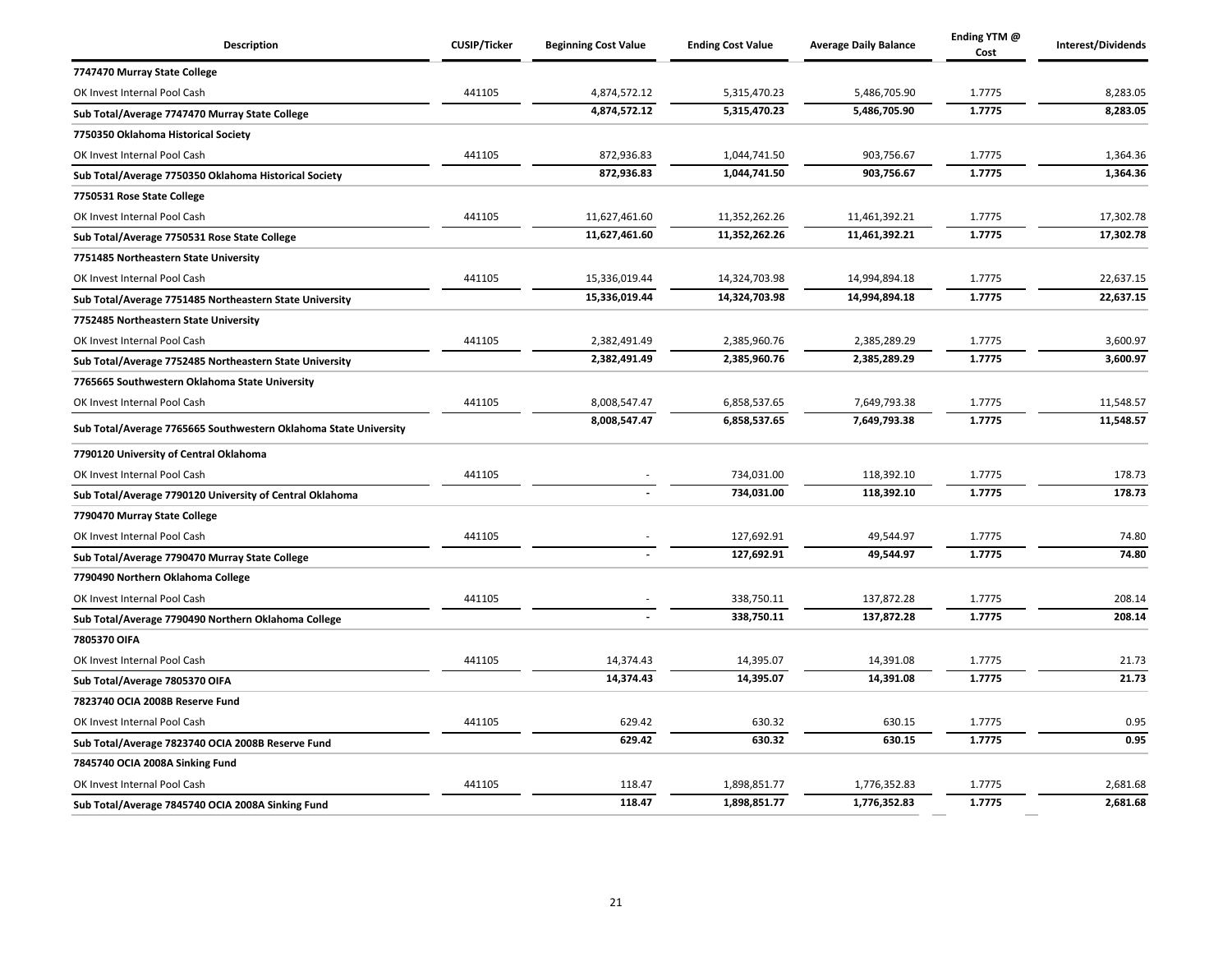| Description                                                      | <b>CUSIP/Ticker</b> | <b>Beginning Cost Value</b> | <b>Ending Cost Value</b> | <b>Average Daily Balance</b> | Ending YTM @<br>Cost | Interest/Dividends |
|------------------------------------------------------------------|---------------------|-----------------------------|--------------------------|------------------------------|----------------------|--------------------|
| 7747470 Murray State College                                     |                     |                             |                          |                              |                      |                    |
| OK Invest Internal Pool Cash                                     | 441105              | 4,874,572.12                | 5,315,470.23             | 5,486,705.90                 | 1.7775               | 8,283.05           |
| Sub Total/Average 7747470 Murray State College                   |                     | 4,874,572.12                | 5,315,470.23             | 5,486,705.90                 | 1.7775               | 8,283.05           |
| 7750350 Oklahoma Historical Society                              |                     |                             |                          |                              |                      |                    |
| OK Invest Internal Pool Cash                                     | 441105              | 872,936.83                  | 1,044,741.50             | 903,756.67                   | 1.7775               | 1,364.36           |
| Sub Total/Average 7750350 Oklahoma Historical Society            |                     | 872,936.83                  | 1,044,741.50             | 903,756.67                   | 1.7775               | 1,364.36           |
| 7750531 Rose State College                                       |                     |                             |                          |                              |                      |                    |
| OK Invest Internal Pool Cash                                     | 441105              | 11,627,461.60               | 11,352,262.26            | 11,461,392.21                | 1.7775               | 17,302.78          |
| Sub Total/Average 7750531 Rose State College                     |                     | 11,627,461.60               | 11,352,262.26            | 11,461,392.21                | 1.7775               | 17,302.78          |
| 7751485 Northeastern State University                            |                     |                             |                          |                              |                      |                    |
| OK Invest Internal Pool Cash                                     | 441105              | 15,336,019.44               | 14,324,703.98            | 14,994,894.18                | 1.7775               | 22,637.15          |
| Sub Total/Average 7751485 Northeastern State University          |                     | 15,336,019.44               | 14,324,703.98            | 14,994,894.18                | 1.7775               | 22,637.15          |
| 7752485 Northeastern State University                            |                     |                             |                          |                              |                      |                    |
| OK Invest Internal Pool Cash                                     | 441105              | 2,382,491.49                | 2,385,960.76             | 2,385,289.29                 | 1.7775               | 3,600.97           |
| Sub Total/Average 7752485 Northeastern State University          |                     | 2,382,491.49                | 2,385,960.76             | 2,385,289.29                 | 1.7775               | 3,600.97           |
| 7765665 Southwestern Oklahoma State University                   |                     |                             |                          |                              |                      |                    |
| OK Invest Internal Pool Cash                                     | 441105              | 8,008,547.47                | 6,858,537.65             | 7,649,793.38                 | 1.7775               | 11,548.57          |
| Sub Total/Average 7765665 Southwestern Oklahoma State University |                     | 8,008,547.47                | 6,858,537.65             | 7,649,793.38                 | 1.7775               | 11,548.57          |
| 7790120 University of Central Oklahoma                           |                     |                             |                          |                              |                      |                    |
| OK Invest Internal Pool Cash                                     | 441105              |                             | 734,031.00               | 118,392.10                   | 1.7775               | 178.73             |
| Sub Total/Average 7790120 University of Central Oklahoma         |                     |                             | 734,031.00               | 118,392.10                   | 1.7775               | 178.73             |
| 7790470 Murray State College                                     |                     |                             |                          |                              |                      |                    |
| OK Invest Internal Pool Cash                                     | 441105              |                             | 127,692.91               | 49,544.97                    | 1.7775               | 74.80              |
| Sub Total/Average 7790470 Murray State College                   |                     |                             | 127,692.91               | 49,544.97                    | 1.7775               | 74.80              |
| 7790490 Northern Oklahoma College                                |                     |                             |                          |                              |                      |                    |
| OK Invest Internal Pool Cash                                     | 441105              |                             | 338,750.11               | 137,872.28                   | 1.7775               | 208.14             |
| Sub Total/Average 7790490 Northern Oklahoma College              |                     |                             | 338,750.11               | 137,872.28                   | 1.7775               | 208.14             |
| 7805370 OIFA                                                     |                     |                             |                          |                              |                      |                    |
| OK Invest Internal Pool Cash                                     | 441105              | 14,374.43                   | 14,395.07                | 14,391.08                    | 1.7775               | 21.73              |
| Sub Total/Average 7805370 OIFA                                   |                     | 14,374.43                   | 14,395.07                | 14,391.08                    | 1.7775               | 21.73              |
| 7823740 OCIA 2008B Reserve Fund                                  |                     |                             |                          |                              |                      |                    |
| OK Invest Internal Pool Cash                                     | 441105              | 629.42                      | 630.32                   | 630.15                       | 1.7775               | 0.95               |
| Sub Total/Average 7823740 OCIA 2008B Reserve Fund                |                     | 629.42                      | 630.32                   | 630.15                       | 1.7775               | 0.95               |
| 7845740 OCIA 2008A Sinking Fund                                  |                     |                             |                          |                              |                      |                    |
| OK Invest Internal Pool Cash                                     | 441105              | 118.47                      | 1,898,851.77             | 1,776,352.83                 | 1.7775               | 2,681.68           |
| Sub Total/Average 7845740 OCIA 2008A Sinking Fund                |                     | 118.47                      | 1,898,851.77             | 1,776,352.83                 | 1.7775               | 2,681.68           |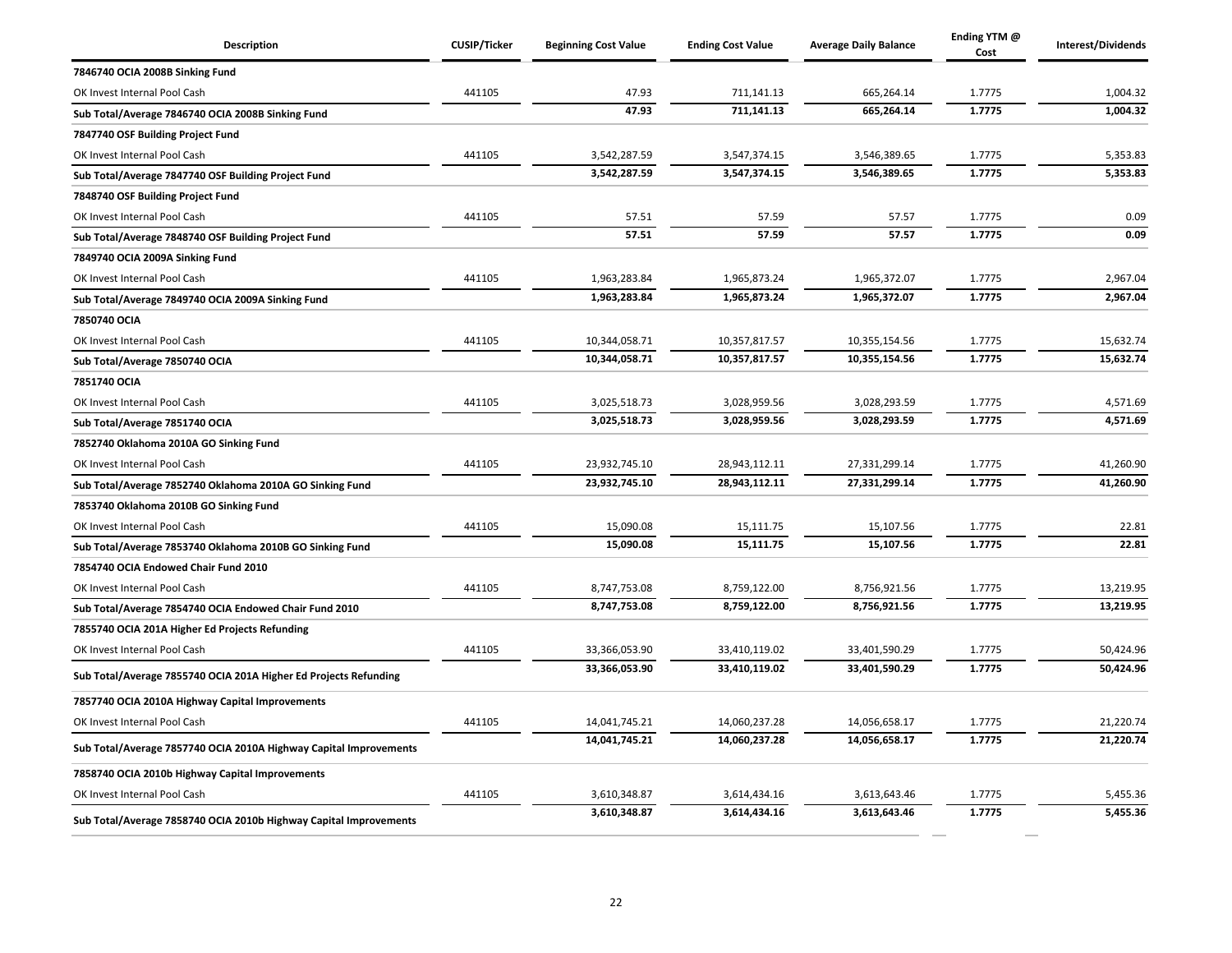| Description                                                       | <b>CUSIP/Ticker</b> | <b>Beginning Cost Value</b> | <b>Ending Cost Value</b> | <b>Average Daily Balance</b> | Ending YTM @<br>Cost | Interest/Dividends |
|-------------------------------------------------------------------|---------------------|-----------------------------|--------------------------|------------------------------|----------------------|--------------------|
| 7846740 OCIA 2008B Sinking Fund                                   |                     |                             |                          |                              |                      |                    |
| OK Invest Internal Pool Cash                                      | 441105              | 47.93                       | 711,141.13               | 665,264.14                   | 1.7775               | 1,004.32           |
| Sub Total/Average 7846740 OCIA 2008B Sinking Fund                 |                     | 47.93                       | 711,141.13               | 665,264.14                   | 1.7775               | 1,004.32           |
| 7847740 OSF Building Project Fund                                 |                     |                             |                          |                              |                      |                    |
| OK Invest Internal Pool Cash                                      | 441105              | 3,542,287.59                | 3,547,374.15             | 3,546,389.65                 | 1.7775               | 5,353.83           |
| Sub Total/Average 7847740 OSF Building Project Fund               |                     | 3,542,287.59                | 3,547,374.15             | 3,546,389.65                 | 1.7775               | 5,353.83           |
| 7848740 OSF Building Project Fund                                 |                     |                             |                          |                              |                      |                    |
| OK Invest Internal Pool Cash                                      | 441105              | 57.51                       | 57.59                    | 57.57                        | 1.7775               | 0.09               |
| Sub Total/Average 7848740 OSF Building Project Fund               |                     | 57.51                       | 57.59                    | 57.57                        | 1.7775               | 0.09               |
| 7849740 OCIA 2009A Sinking Fund                                   |                     |                             |                          |                              |                      |                    |
| OK Invest Internal Pool Cash                                      | 441105              | 1,963,283.84                | 1,965,873.24             | 1,965,372.07                 | 1.7775               | 2,967.04           |
| Sub Total/Average 7849740 OCIA 2009A Sinking Fund                 |                     | 1,963,283.84                | 1,965,873.24             | 1,965,372.07                 | 1.7775               | 2,967.04           |
| 7850740 OCIA                                                      |                     |                             |                          |                              |                      |                    |
| OK Invest Internal Pool Cash                                      | 441105              | 10,344,058.71               | 10,357,817.57            | 10,355,154.56                | 1.7775               | 15,632.74          |
| Sub Total/Average 7850740 OCIA                                    |                     | 10,344,058.71               | 10,357,817.57            | 10,355,154.56                | 1.7775               | 15,632.74          |
| 7851740 OCIA                                                      |                     |                             |                          |                              |                      |                    |
| OK Invest Internal Pool Cash                                      | 441105              | 3,025,518.73                | 3,028,959.56             | 3,028,293.59                 | 1.7775               | 4,571.69           |
| Sub Total/Average 7851740 OCIA                                    |                     | 3,025,518.73                | 3,028,959.56             | 3,028,293.59                 | 1.7775               | 4,571.69           |
| 7852740 Oklahoma 2010A GO Sinking Fund                            |                     |                             |                          |                              |                      |                    |
| OK Invest Internal Pool Cash                                      | 441105              | 23,932,745.10               | 28,943,112.11            | 27,331,299.14                | 1.7775               | 41,260.90          |
| Sub Total/Average 7852740 Oklahoma 2010A GO Sinking Fund          |                     | 23,932,745.10               | 28,943,112.11            | 27,331,299.14                | 1.7775               | 41,260.90          |
| 7853740 Oklahoma 2010B GO Sinking Fund                            |                     |                             |                          |                              |                      |                    |
| OK Invest Internal Pool Cash                                      | 441105              | 15,090.08                   | 15,111.75                | 15,107.56                    | 1.7775               | 22.81              |
| Sub Total/Average 7853740 Oklahoma 2010B GO Sinking Fund          |                     | 15,090.08                   | 15,111.75                | 15,107.56                    | 1.7775               | 22.81              |
| 7854740 OCIA Endowed Chair Fund 2010                              |                     |                             |                          |                              |                      |                    |
| OK Invest Internal Pool Cash                                      | 441105              | 8,747,753.08                | 8,759,122.00             | 8,756,921.56                 | 1.7775               | 13,219.95          |
| Sub Total/Average 7854740 OCIA Endowed Chair Fund 2010            |                     | 8,747,753.08                | 8,759,122.00             | 8,756,921.56                 | 1.7775               | 13,219.95          |
| 7855740 OCIA 201A Higher Ed Projects Refunding                    |                     |                             |                          |                              |                      |                    |
| OK Invest Internal Pool Cash                                      | 441105              | 33,366,053.90               | 33,410,119.02            | 33,401,590.29                | 1.7775               | 50,424.96          |
| Sub Total/Average 7855740 OCIA 201A Higher Ed Projects Refunding  |                     | 33,366,053.90               | 33,410,119.02            | 33,401,590.29                | 1.7775               | 50,424.96          |
| 7857740 OCIA 2010A Highway Capital Improvements                   |                     |                             |                          |                              |                      |                    |
| OK Invest Internal Pool Cash                                      | 441105              | 14,041,745.21               | 14,060,237.28            | 14,056,658.17                | 1.7775               | 21,220.74          |
| Sub Total/Average 7857740 OCIA 2010A Highway Capital Improvements |                     | 14,041,745.21               | 14,060,237.28            | 14,056,658.17                | 1.7775               | 21,220.74          |
| 7858740 OCIA 2010b Highway Capital Improvements                   |                     |                             |                          |                              |                      |                    |
| OK Invest Internal Pool Cash                                      | 441105              | 3,610,348.87                | 3,614,434.16             | 3,613,643.46                 | 1.7775               | 5,455.36           |
| Sub Total/Average 7858740 OCIA 2010b Highway Capital Improvements |                     | 3,610,348.87                | 3,614,434.16             | 3,613,643.46                 | 1.7775               | 5,455.36           |